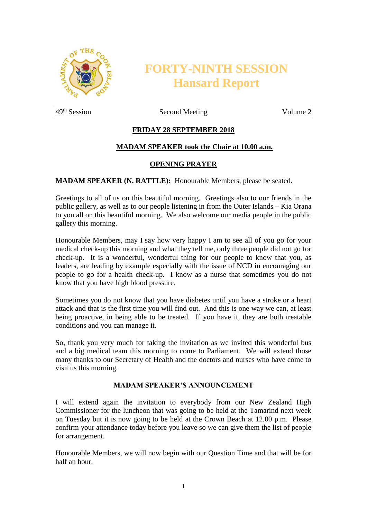

# **FORTY-NINTH SESSION Hansard Report**

49<sup>th</sup> Session Second Meeting Volume 2

# **FRIDAY 28 SEPTEMBER 2018**

## **MADAM SPEAKER took the Chair at 10.00 a.m.**

## **OPENING PRAYER**

**MADAM SPEAKER (N. RATTLE):** Honourable Members, please be seated.

Greetings to all of us on this beautiful morning. Greetings also to our friends in the public gallery, as well as to our people listening in from the Outer Islands – Kia Orana to you all on this beautiful morning. We also welcome our media people in the public gallery this morning.

Honourable Members, may I say how very happy I am to see all of you go for your medical check-up this morning and what they tell me, only three people did not go for check-up. It is a wonderful, wonderful thing for our people to know that you, as leaders, are leading by example especially with the issue of NCD in encouraging our people to go for a health check-up. I know as a nurse that sometimes you do not know that you have high blood pressure.

Sometimes you do not know that you have diabetes until you have a stroke or a heart attack and that is the first time you will find out. And this is one way we can, at least being proactive, in being able to be treated. If you have it, they are both treatable conditions and you can manage it.

So, thank you very much for taking the invitation as we invited this wonderful bus and a big medical team this morning to come to Parliament. We will extend those many thanks to our Secretary of Health and the doctors and nurses who have come to visit us this morning.

# **MADAM SPEAKER'S ANNOUNCEMENT**

I will extend again the invitation to everybody from our New Zealand High Commissioner for the luncheon that was going to be held at the Tamarind next week on Tuesday but it is now going to be held at the Crown Beach at 12.00 p.m. Please confirm your attendance today before you leave so we can give them the list of people for arrangement.

Honourable Members, we will now begin with our Question Time and that will be for half an hour.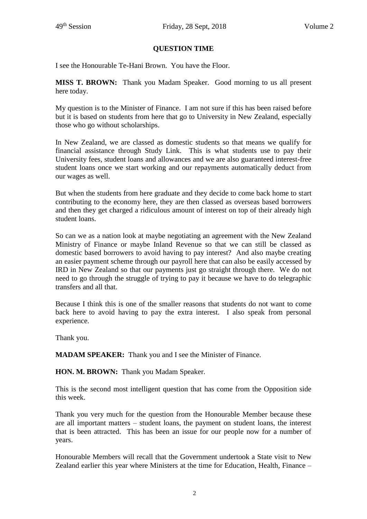## **QUESTION TIME**

I see the Honourable Te-Hani Brown. You have the Floor.

**MISS T. BROWN:** Thank you Madam Speaker. Good morning to us all present here today.

My question is to the Minister of Finance. I am not sure if this has been raised before but it is based on students from here that go to University in New Zealand, especially those who go without scholarships.

In New Zealand, we are classed as domestic students so that means we qualify for financial assistance through Study Link. This is what students use to pay their University fees, student loans and allowances and we are also guaranteed interest-free student loans once we start working and our repayments automatically deduct from our wages as well.

But when the students from here graduate and they decide to come back home to start contributing to the economy here, they are then classed as overseas based borrowers and then they get charged a ridiculous amount of interest on top of their already high student loans.

So can we as a nation look at maybe negotiating an agreement with the New Zealand Ministry of Finance or maybe Inland Revenue so that we can still be classed as domestic based borrowers to avoid having to pay interest? And also maybe creating an easier payment scheme through our payroll here that can also be easily accessed by IRD in New Zealand so that our payments just go straight through there. We do not need to go through the struggle of trying to pay it because we have to do telegraphic transfers and all that.

Because I think this is one of the smaller reasons that students do not want to come back here to avoid having to pay the extra interest. I also speak from personal experience.

Thank you.

**MADAM SPEAKER:** Thank you and I see the Minister of Finance.

**HON. M. BROWN:** Thank you Madam Speaker.

This is the second most intelligent question that has come from the Opposition side this week.

Thank you very much for the question from the Honourable Member because these are all important matters – student loans, the payment on student loans, the interest that is been attracted. This has been an issue for our people now for a number of years.

Honourable Members will recall that the Government undertook a State visit to New Zealand earlier this year where Ministers at the time for Education, Health, Finance –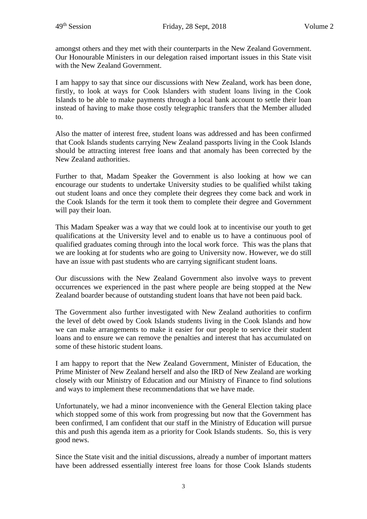amongst others and they met with their counterparts in the New Zealand Government. Our Honourable Ministers in our delegation raised important issues in this State visit with the New Zealand Government.

I am happy to say that since our discussions with New Zealand, work has been done, firstly, to look at ways for Cook Islanders with student loans living in the Cook Islands to be able to make payments through a local bank account to settle their loan instead of having to make those costly telegraphic transfers that the Member alluded to.

Also the matter of interest free, student loans was addressed and has been confirmed that Cook Islands students carrying New Zealand passports living in the Cook Islands should be attracting interest free loans and that anomaly has been corrected by the New Zealand authorities.

Further to that, Madam Speaker the Government is also looking at how we can encourage our students to undertake University studies to be qualified whilst taking out student loans and once they complete their degrees they come back and work in the Cook Islands for the term it took them to complete their degree and Government will pay their loan.

This Madam Speaker was a way that we could look at to incentivise our youth to get qualifications at the University level and to enable us to have a continuous pool of qualified graduates coming through into the local work force. This was the plans that we are looking at for students who are going to University now. However, we do still have an issue with past students who are carrying significant student loans.

Our discussions with the New Zealand Government also involve ways to prevent occurrences we experienced in the past where people are being stopped at the New Zealand boarder because of outstanding student loans that have not been paid back.

The Government also further investigated with New Zealand authorities to confirm the level of debt owed by Cook Islands students living in the Cook Islands and how we can make arrangements to make it easier for our people to service their student loans and to ensure we can remove the penalties and interest that has accumulated on some of these historic student loans.

I am happy to report that the New Zealand Government, Minister of Education, the Prime Minister of New Zealand herself and also the IRD of New Zealand are working closely with our Ministry of Education and our Ministry of Finance to find solutions and ways to implement these recommendations that we have made.

Unfortunately, we had a minor inconvenience with the General Election taking place which stopped some of this work from progressing but now that the Government has been confirmed, I am confident that our staff in the Ministry of Education will pursue this and push this agenda item as a priority for Cook Islands students. So, this is very good news.

Since the State visit and the initial discussions, already a number of important matters have been addressed essentially interest free loans for those Cook Islands students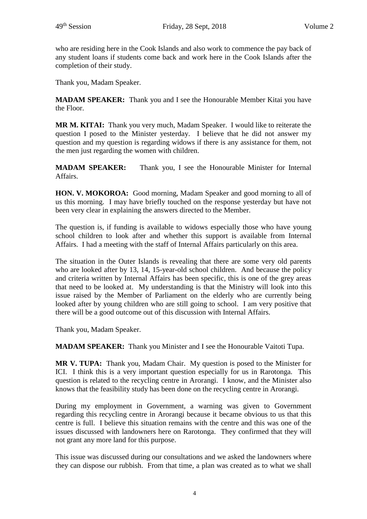who are residing here in the Cook Islands and also work to commence the pay back of any student loans if students come back and work here in the Cook Islands after the completion of their study.

Thank you, Madam Speaker.

**MADAM SPEAKER:** Thank you and I see the Honourable Member Kitai you have the Floor.

**MR M. KITAI:** Thank you very much, Madam Speaker. I would like to reiterate the question I posed to the Minister yesterday. I believe that he did not answer my question and my question is regarding widows if there is any assistance for them, not the men just regarding the women with children.

**MADAM SPEAKER:** Thank you, I see the Honourable Minister for Internal Affairs.

**HON. V. MOKOROA:** Good morning, Madam Speaker and good morning to all of us this morning. I may have briefly touched on the response yesterday but have not been very clear in explaining the answers directed to the Member.

The question is, if funding is available to widows especially those who have young school children to look after and whether this support is available from Internal Affairs. I had a meeting with the staff of Internal Affairs particularly on this area.

The situation in the Outer Islands is revealing that there are some very old parents who are looked after by 13, 14, 15-year-old school children. And because the policy and criteria written by Internal Affairs has been specific, this is one of the grey areas that need to be looked at. My understanding is that the Ministry will look into this issue raised by the Member of Parliament on the elderly who are currently being looked after by young children who are still going to school. I am very positive that there will be a good outcome out of this discussion with Internal Affairs.

Thank you, Madam Speaker.

**MADAM SPEAKER:** Thank you Minister and I see the Honourable Vaitoti Tupa.

**MR V. TUPA:** Thank you, Madam Chair. My question is posed to the Minister for ICI. I think this is a very important question especially for us in Rarotonga. This question is related to the recycling centre in Arorangi. I know, and the Minister also knows that the feasibility study has been done on the recycling centre in Arorangi.

During my employment in Government, a warning was given to Government regarding this recycling centre in Arorangi because it became obvious to us that this centre is full. I believe this situation remains with the centre and this was one of the issues discussed with landowners here on Rarotonga. They confirmed that they will not grant any more land for this purpose.

This issue was discussed during our consultations and we asked the landowners where they can dispose our rubbish. From that time, a plan was created as to what we shall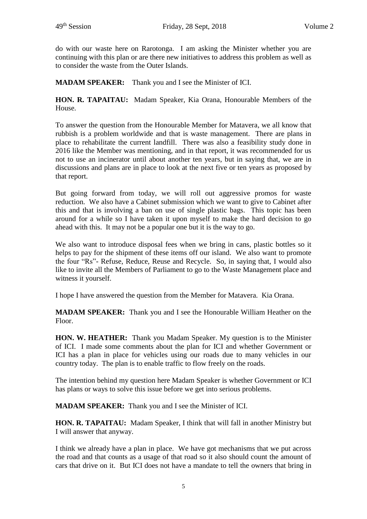do with our waste here on Rarotonga. I am asking the Minister whether you are continuing with this plan or are there new initiatives to address this problem as well as to consider the waste from the Outer Islands.

**MADAM SPEAKER:** Thank you and I see the Minister of ICI.

**HON. R. TAPAITAU:** Madam Speaker, Kia Orana, Honourable Members of the House.

To answer the question from the Honourable Member for Matavera, we all know that rubbish is a problem worldwide and that is waste management. There are plans in place to rehabilitate the current landfill. There was also a feasibility study done in 2016 like the Member was mentioning, and in that report, it was recommended for us not to use an incinerator until about another ten years, but in saying that, we are in discussions and plans are in place to look at the next five or ten years as proposed by that report.

But going forward from today, we will roll out aggressive promos for waste reduction. We also have a Cabinet submission which we want to give to Cabinet after this and that is involving a ban on use of single plastic bags. This topic has been around for a while so I have taken it upon myself to make the hard decision to go ahead with this. It may not be a popular one but it is the way to go.

We also want to introduce disposal fees when we bring in cans, plastic bottles so it helps to pay for the shipment of these items off our island. We also want to promote the four "Rs"- Refuse, Reduce, Reuse and Recycle. So, in saying that, I would also like to invite all the Members of Parliament to go to the Waste Management place and witness it yourself.

I hope I have answered the question from the Member for Matavera. Kia Orana.

**MADAM SPEAKER:** Thank you and I see the Honourable William Heather on the Floor.

**HON. W. HEATHER:** Thank you Madam Speaker. My question is to the Minister of ICI. I made some comments about the plan for ICI and whether Government or ICI has a plan in place for vehicles using our roads due to many vehicles in our country today. The plan is to enable traffic to flow freely on the roads.

The intention behind my question here Madam Speaker is whether Government or ICI has plans or ways to solve this issue before we get into serious problems.

**MADAM SPEAKER:** Thank you and I see the Minister of ICI.

**HON. R. TAPAITAU:** Madam Speaker, I think that will fall in another Ministry but I will answer that anyway.

I think we already have a plan in place. We have got mechanisms that we put across the road and that counts as a usage of that road so it also should count the amount of cars that drive on it. But ICI does not have a mandate to tell the owners that bring in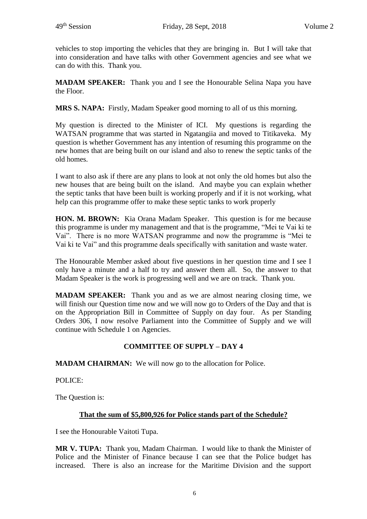vehicles to stop importing the vehicles that they are bringing in. But I will take that into consideration and have talks with other Government agencies and see what we can do with this. Thank you.

**MADAM SPEAKER:** Thank you and I see the Honourable Selina Napa you have the Floor.

**MRS S. NAPA:** Firstly, Madam Speaker good morning to all of us this morning.

My question is directed to the Minister of ICI. My questions is regarding the WATSAN programme that was started in Ngatangiia and moved to Titikaveka. My question is whether Government has any intention of resuming this programme on the new homes that are being built on our island and also to renew the septic tanks of the old homes.

I want to also ask if there are any plans to look at not only the old homes but also the new houses that are being built on the island. And maybe you can explain whether the septic tanks that have been built is working properly and if it is not working, what help can this programme offer to make these septic tanks to work properly

**HON. M. BROWN:** Kia Orana Madam Speaker. This question is for me because this programme is under my management and that is the programme, "Mei te Vai ki te Vai". There is no more WATSAN programme and now the programme is "Mei te Vai ki te Vai" and this programme deals specifically with sanitation and waste water.

The Honourable Member asked about five questions in her question time and I see I only have a minute and a half to try and answer them all. So, the answer to that Madam Speaker is the work is progressing well and we are on track. Thank you.

**MADAM SPEAKER:** Thank you and as we are almost nearing closing time, we will finish our Question time now and we will now go to Orders of the Day and that is on the Appropriation Bill in Committee of Supply on day four. As per Standing Orders 306, I now resolve Parliament into the Committee of Supply and we will continue with Schedule 1 on Agencies.

# **COMMITTEE OF SUPPLY – DAY 4**

**MADAM CHAIRMAN:** We will now go to the allocation for Police.

POLICE:

The Question is:

#### **That the sum of \$5,800,926 for Police stands part of the Schedule?**

I see the Honourable Vaitoti Tupa.

**MR V. TUPA:** Thank you, Madam Chairman. I would like to thank the Minister of Police and the Minister of Finance because I can see that the Police budget has increased. There is also an increase for the Maritime Division and the support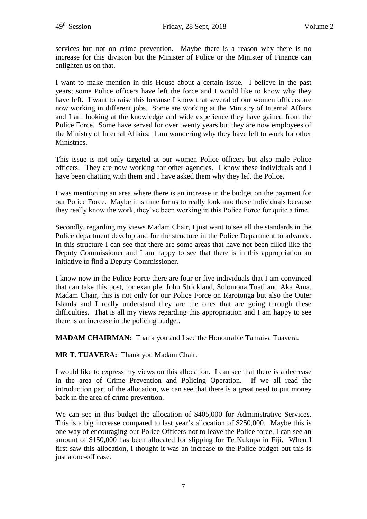services but not on crime prevention. Maybe there is a reason why there is no increase for this division but the Minister of Police or the Minister of Finance can enlighten us on that.

I want to make mention in this House about a certain issue. I believe in the past years; some Police officers have left the force and I would like to know why they have left. I want to raise this because I know that several of our women officers are now working in different jobs. Some are working at the Ministry of Internal Affairs and I am looking at the knowledge and wide experience they have gained from the Police Force. Some have served for over twenty years but they are now employees of the Ministry of Internal Affairs. I am wondering why they have left to work for other Ministries.

This issue is not only targeted at our women Police officers but also male Police officers. They are now working for other agencies. I know these individuals and I have been chatting with them and I have asked them why they left the Police.

I was mentioning an area where there is an increase in the budget on the payment for our Police Force. Maybe it is time for us to really look into these individuals because they really know the work, they've been working in this Police Force for quite a time.

Secondly, regarding my views Madam Chair, I just want to see all the standards in the Police department develop and for the structure in the Police Department to advance. In this structure I can see that there are some areas that have not been filled like the Deputy Commissioner and I am happy to see that there is in this appropriation an initiative to find a Deputy Commissioner.

I know now in the Police Force there are four or five individuals that I am convinced that can take this post, for example, John Strickland, Solomona Tuati and Aka Ama. Madam Chair, this is not only for our Police Force on Rarotonga but also the Outer Islands and I really understand they are the ones that are going through these difficulties. That is all my views regarding this appropriation and I am happy to see there is an increase in the policing budget.

**MADAM CHAIRMAN:** Thank you and I see the Honourable Tamaiva Tuavera.

**MR T. TUAVERA:** Thank you Madam Chair.

I would like to express my views on this allocation. I can see that there is a decrease in the area of Crime Prevention and Policing Operation. If we all read the introduction part of the allocation, we can see that there is a great need to put money back in the area of crime prevention.

We can see in this budget the allocation of \$405,000 for Administrative Services. This is a big increase compared to last year's allocation of \$250,000. Maybe this is one way of encouraging our Police Officers not to leave the Police force. I can see an amount of \$150,000 has been allocated for slipping for Te Kukupa in Fiji. When I first saw this allocation, I thought it was an increase to the Police budget but this is just a one-off case.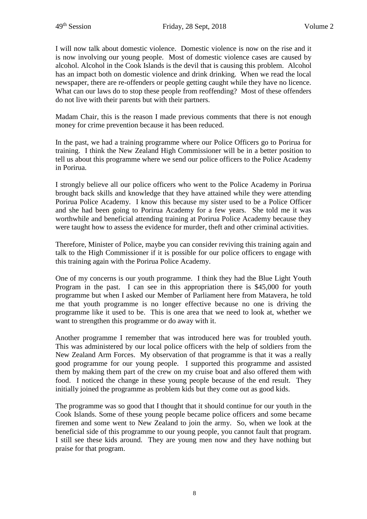I will now talk about domestic violence. Domestic violence is now on the rise and it is now involving our young people. Most of domestic violence cases are caused by alcohol. Alcohol in the Cook Islands is the devil that is causing this problem. Alcohol has an impact both on domestic violence and drink drinking. When we read the local newspaper, there are re-offenders or people getting caught while they have no licence. What can our laws do to stop these people from reoffending? Most of these offenders do not live with their parents but with their partners.

Madam Chair, this is the reason I made previous comments that there is not enough money for crime prevention because it has been reduced.

In the past, we had a training programme where our Police Officers go to Porirua for training. I think the New Zealand High Commissioner will be in a better position to tell us about this programme where we send our police officers to the Police Academy in Porirua.

I strongly believe all our police officers who went to the Police Academy in Porirua brought back skills and knowledge that they have attained while they were attending Porirua Police Academy. I know this because my sister used to be a Police Officer and she had been going to Porirua Academy for a few years. She told me it was worthwhile and beneficial attending training at Porirua Police Academy because they were taught how to assess the evidence for murder, theft and other criminal activities.

Therefore, Minister of Police, maybe you can consider reviving this training again and talk to the High Commissioner if it is possible for our police officers to engage with this training again with the Porirua Police Academy.

One of my concerns is our youth programme. I think they had the Blue Light Youth Program in the past. I can see in this appropriation there is \$45,000 for youth programme but when I asked our Member of Parliament here from Matavera, he told me that youth programme is no longer effective because no one is driving the programme like it used to be. This is one area that we need to look at, whether we want to strengthen this programme or do away with it.

Another programme I remember that was introduced here was for troubled youth. This was administered by our local police officers with the help of soldiers from the New Zealand Arm Forces. My observation of that programme is that it was a really good programme for our young people. I supported this programme and assisted them by making them part of the crew on my cruise boat and also offered them with food. I noticed the change in these young people because of the end result. They initially joined the programme as problem kids but they come out as good kids.

The programme was so good that I thought that it should continue for our youth in the Cook Islands. Some of these young people became police officers and some became firemen and some went to New Zealand to join the army. So, when we look at the beneficial side of this programme to our young people, you cannot fault that program. I still see these kids around. They are young men now and they have nothing but praise for that program.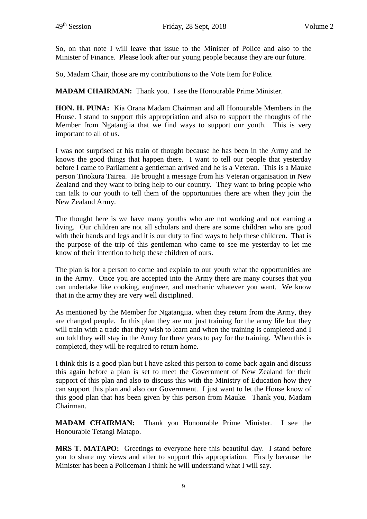So, on that note I will leave that issue to the Minister of Police and also to the Minister of Finance. Please look after our young people because they are our future.

So, Madam Chair, those are my contributions to the Vote Item for Police.

**MADAM CHAIRMAN:** Thank you. I see the Honourable Prime Minister.

**HON. H. PUNA:** Kia Orana Madam Chairman and all Honourable Members in the House. I stand to support this appropriation and also to support the thoughts of the Member from Ngatangiia that we find ways to support our youth. This is very important to all of us.

I was not surprised at his train of thought because he has been in the Army and he knows the good things that happen there. I want to tell our people that yesterday before I came to Parliament a gentleman arrived and he is a Veteran. This is a Mauke person Tinokura Tairea. He brought a message from his Veteran organisation in New Zealand and they want to bring help to our country. They want to bring people who can talk to our youth to tell them of the opportunities there are when they join the New Zealand Army.

The thought here is we have many youths who are not working and not earning a living. Our children are not all scholars and there are some children who are good with their hands and legs and it is our duty to find ways to help these children. That is the purpose of the trip of this gentleman who came to see me yesterday to let me know of their intention to help these children of ours.

The plan is for a person to come and explain to our youth what the opportunities are in the Army. Once you are accepted into the Army there are many courses that you can undertake like cooking, engineer, and mechanic whatever you want. We know that in the army they are very well disciplined.

As mentioned by the Member for Ngatangiia, when they return from the Army, they are changed people. In this plan they are not just training for the army life but they will train with a trade that they wish to learn and when the training is completed and I am told they will stay in the Army for three years to pay for the training. When this is completed, they will be required to return home.

I think this is a good plan but I have asked this person to come back again and discuss this again before a plan is set to meet the Government of New Zealand for their support of this plan and also to discuss this with the Ministry of Education how they can support this plan and also our Government. I just want to let the House know of this good plan that has been given by this person from Mauke. Thank you, Madam Chairman.

**MADAM CHAIRMAN:** Thank you Honourable Prime Minister. I see the Honourable Tetangi Matapo.

**MRS T. MATAPO:** Greetings to everyone here this beautiful day. I stand before you to share my views and after to support this appropriation. Firstly because the Minister has been a Policeman I think he will understand what I will say.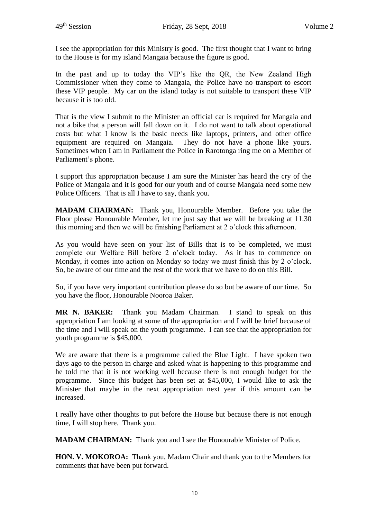I see the appropriation for this Ministry is good. The first thought that I want to bring to the House is for my island Mangaia because the figure is good.

In the past and up to today the VIP's like the QR, the New Zealand High Commissioner when they come to Mangaia, the Police have no transport to escort these VIP people. My car on the island today is not suitable to transport these VIP because it is too old.

That is the view I submit to the Minister an official car is required for Mangaia and not a bike that a person will fall down on it. I do not want to talk about operational costs but what I know is the basic needs like laptops, printers, and other office equipment are required on Mangaia. They do not have a phone like yours. Sometimes when I am in Parliament the Police in Rarotonga ring me on a Member of Parliament's phone.

I support this appropriation because I am sure the Minister has heard the cry of the Police of Mangaia and it is good for our youth and of course Mangaia need some new Police Officers. That is all I have to say, thank you.

**MADAM CHAIRMAN:** Thank you, Honourable Member. Before you take the Floor please Honourable Member, let me just say that we will be breaking at 11.30 this morning and then we will be finishing Parliament at 2 o'clock this afternoon.

As you would have seen on your list of Bills that is to be completed, we must complete our Welfare Bill before 2 o'clock today. As it has to commence on Monday, it comes into action on Monday so today we must finish this by 2 o'clock. So, be aware of our time and the rest of the work that we have to do on this Bill.

So, if you have very important contribution please do so but be aware of our time. So you have the floor, Honourable Nooroa Baker.

**MR N. BAKER:** Thank you Madam Chairman. I stand to speak on this appropriation I am looking at some of the appropriation and I will be brief because of the time and I will speak on the youth programme. I can see that the appropriation for youth programme is \$45,000.

We are aware that there is a programme called the Blue Light. I have spoken two days ago to the person in charge and asked what is happening to this programme and he told me that it is not working well because there is not enough budget for the programme. Since this budget has been set at \$45,000, I would like to ask the Minister that maybe in the next appropriation next year if this amount can be increased.

I really have other thoughts to put before the House but because there is not enough time, I will stop here. Thank you.

**MADAM CHAIRMAN:** Thank you and I see the Honourable Minister of Police.

**HON. V. MOKOROA:** Thank you, Madam Chair and thank you to the Members for comments that have been put forward.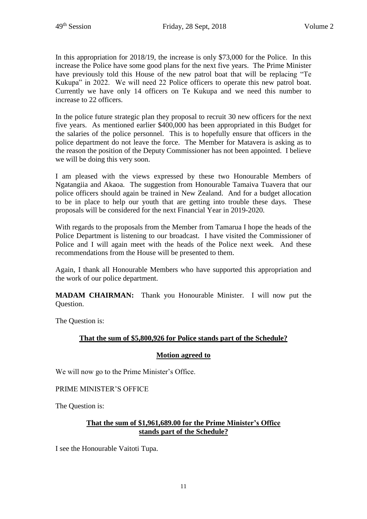In this appropriation for 2018/19, the increase is only \$73,000 for the Police. In this increase the Police have some good plans for the next five years. The Prime Minister have previously told this House of the new patrol boat that will be replacing "Te Kukupa" in 2022. We will need 22 Police officers to operate this new patrol boat. Currently we have only 14 officers on Te Kukupa and we need this number to increase to 22 officers.

In the police future strategic plan they proposal to recruit 30 new officers for the next five years. As mentioned earlier \$400,000 has been appropriated in this Budget for the salaries of the police personnel. This is to hopefully ensure that officers in the police department do not leave the force. The Member for Matavera is asking as to the reason the position of the Deputy Commissioner has not been appointed. I believe we will be doing this very soon.

I am pleased with the views expressed by these two Honourable Members of Ngatangiia and Akaoa. The suggestion from Honourable Tamaiva Tuavera that our police officers should again be trained in New Zealand. And for a budget allocation to be in place to help our youth that are getting into trouble these days. These proposals will be considered for the next Financial Year in 2019-2020.

With regards to the proposals from the Member from Tamarua I hope the heads of the Police Department is listening to our broadcast. I have visited the Commissioner of Police and I will again meet with the heads of the Police next week. And these recommendations from the House will be presented to them.

Again, I thank all Honourable Members who have supported this appropriation and the work of our police department.

**MADAM CHAIRMAN:** Thank you Honourable Minister. I will now put the Question.

The Question is:

# **That the sum of \$5,800,926 for Police stands part of the Schedule?**

#### **Motion agreed to**

We will now go to the Prime Minister's Office.

PRIME MINISTER'S OFFICE

The Question is:

# **That the sum of \$1,961,689.00 for the Prime Minister's Office stands part of the Schedule?**

I see the Honourable Vaitoti Tupa.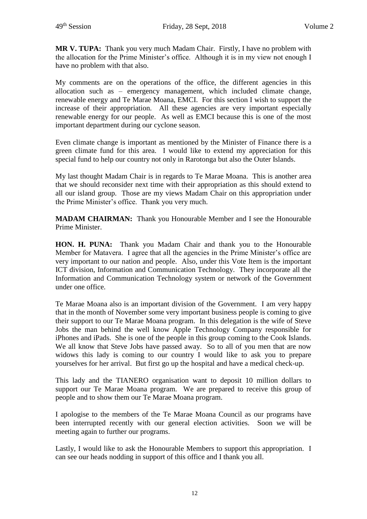**MR V. TUPA:** Thank you very much Madam Chair. Firstly, I have no problem with the allocation for the Prime Minister's office. Although it is in my view not enough I have no problem with that also.

My comments are on the operations of the office, the different agencies in this allocation such as – emergency management, which included climate change, renewable energy and Te Marae Moana, EMCI. For this section I wish to support the increase of their appropriation. All these agencies are very important especially renewable energy for our people. As well as EMCI because this is one of the most important department during our cyclone season.

Even climate change is important as mentioned by the Minister of Finance there is a green climate fund for this area. I would like to extend my appreciation for this special fund to help our country not only in Rarotonga but also the Outer Islands.

My last thought Madam Chair is in regards to Te Marae Moana. This is another area that we should reconsider next time with their appropriation as this should extend to all our island group. Those are my views Madam Chair on this appropriation under the Prime Minister's office. Thank you very much.

**MADAM CHAIRMAN:** Thank you Honourable Member and I see the Honourable Prime Minister.

**HON. H. PUNA:** Thank you Madam Chair and thank you to the Honourable Member for Matavera. I agree that all the agencies in the Prime Minister's office are very important to our nation and people. Also, under this Vote Item is the important ICT division, Information and Communication Technology. They incorporate all the Information and Communication Technology system or network of the Government under one office.

Te Marae Moana also is an important division of the Government. I am very happy that in the month of November some very important business people is coming to give their support to our Te Marae Moana program. In this delegation is the wife of Steve Jobs the man behind the well know Apple Technology Company responsible for iPhones and iPads. She is one of the people in this group coming to the Cook Islands. We all know that Steve Jobs have passed away. So to all of you men that are now widows this lady is coming to our country I would like to ask you to prepare yourselves for her arrival. But first go up the hospital and have a medical check-up.

This lady and the TIANERO organisation want to deposit 10 million dollars to support our Te Marae Moana program. We are prepared to receive this group of people and to show them our Te Marae Moana program.

I apologise to the members of the Te Marae Moana Council as our programs have been interrupted recently with our general election activities. Soon we will be meeting again to further our programs.

Lastly, I would like to ask the Honourable Members to support this appropriation. I can see our heads nodding in support of this office and I thank you all.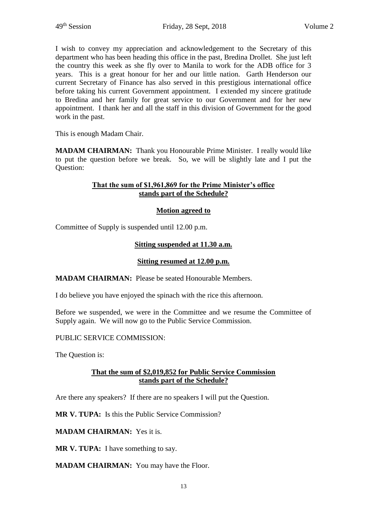I wish to convey my appreciation and acknowledgement to the Secretary of this department who has been heading this office in the past, Bredina Drollet. She just left the country this week as she fly over to Manila to work for the ADB office for 3 years. This is a great honour for her and our little nation. Garth Henderson our current Secretary of Finance has also served in this prestigious international office before taking his current Government appointment. I extended my sincere gratitude to Bredina and her family for great service to our Government and for her new appointment. I thank her and all the staff in this division of Government for the good work in the past.

This is enough Madam Chair.

**MADAM CHAIRMAN:** Thank you Honourable Prime Minister. I really would like to put the question before we break. So, we will be slightly late and I put the Question:

## **That the sum of \$1,961,869 for the Prime Minister's office stands part of the Schedule?**

#### **Motion agreed to**

Committee of Supply is suspended until 12.00 p.m.

#### **Sitting suspended at 11.30 a.m.**

#### **Sitting resumed at 12.00 p.m.**

**MADAM CHAIRMAN:** Please be seated Honourable Members.

I do believe you have enjoyed the spinach with the rice this afternoon.

Before we suspended, we were in the Committee and we resume the Committee of Supply again. We will now go to the Public Service Commission.

PUBLIC SERVICE COMMISSION:

The Question is:

#### **That the sum of \$2,019,852 for Public Service Commission stands part of the Schedule?**

Are there any speakers? If there are no speakers I will put the Question.

**MR V. TUPA:** Is this the Public Service Commission?

**MADAM CHAIRMAN:** Yes it is.

**MR V. TUPA:** I have something to say.

**MADAM CHAIRMAN:** You may have the Floor.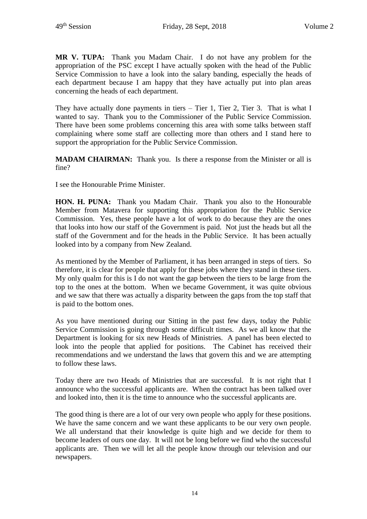**MR V. TUPA:** Thank you Madam Chair. I do not have any problem for the appropriation of the PSC except I have actually spoken with the head of the Public Service Commission to have a look into the salary banding, especially the heads of each department because I am happy that they have actually put into plan areas concerning the heads of each department.

They have actually done payments in tiers – Tier 1, Tier 2, Tier 3. That is what I wanted to say. Thank you to the Commissioner of the Public Service Commission. There have been some problems concerning this area with some talks between staff complaining where some staff are collecting more than others and I stand here to support the appropriation for the Public Service Commission.

**MADAM CHAIRMAN:** Thank you. Is there a response from the Minister or all is fine?

I see the Honourable Prime Minister.

**HON. H. PUNA:** Thank you Madam Chair. Thank you also to the Honourable Member from Matavera for supporting this appropriation for the Public Service Commission. Yes, these people have a lot of work to do because they are the ones that looks into how our staff of the Government is paid. Not just the heads but all the staff of the Government and for the heads in the Public Service. It has been actually looked into by a company from New Zealand.

As mentioned by the Member of Parliament, it has been arranged in steps of tiers. So therefore, it is clear for people that apply for these jobs where they stand in these tiers. My only qualm for this is I do not want the gap between the tiers to be large from the top to the ones at the bottom. When we became Government, it was quite obvious and we saw that there was actually a disparity between the gaps from the top staff that is paid to the bottom ones.

As you have mentioned during our Sitting in the past few days, today the Public Service Commission is going through some difficult times. As we all know that the Department is looking for six new Heads of Ministries. A panel has been elected to look into the people that applied for positions. The Cabinet has received their recommendations and we understand the laws that govern this and we are attempting to follow these laws.

Today there are two Heads of Ministries that are successful. It is not right that I announce who the successful applicants are. When the contract has been talked over and looked into, then it is the time to announce who the successful applicants are.

The good thing is there are a lot of our very own people who apply for these positions. We have the same concern and we want these applicants to be our very own people. We all understand that their knowledge is quite high and we decide for them to become leaders of ours one day. It will not be long before we find who the successful applicants are. Then we will let all the people know through our television and our newspapers.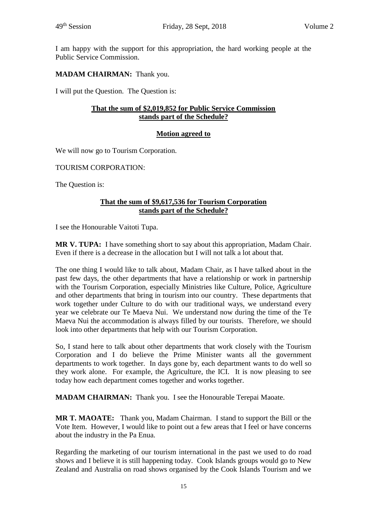I am happy with the support for this appropriation, the hard working people at the Public Service Commission.

# **MADAM CHAIRMAN:** Thank you.

I will put the Question. The Question is:

## **That the sum of \$2,019,852 for Public Service Commission stands part of the Schedule?**

# **Motion agreed to**

We will now go to Tourism Corporation.

TOURISM CORPORATION:

The Question is:

## **That the sum of \$9,617,536 for Tourism Corporation stands part of the Schedule?**

I see the Honourable Vaitoti Tupa.

**MR V. TUPA:** I have something short to say about this appropriation, Madam Chair. Even if there is a decrease in the allocation but I will not talk a lot about that.

The one thing I would like to talk about, Madam Chair, as I have talked about in the past few days, the other departments that have a relationship or work in partnership with the Tourism Corporation, especially Ministries like Culture, Police, Agriculture and other departments that bring in tourism into our country. These departments that work together under Culture to do with our traditional ways, we understand every year we celebrate our Te Maeva Nui. We understand now during the time of the Te Maeva Nui the accommodation is always filled by our tourists. Therefore, we should look into other departments that help with our Tourism Corporation.

So, I stand here to talk about other departments that work closely with the Tourism Corporation and I do believe the Prime Minister wants all the government departments to work together. In days gone by, each department wants to do well so they work alone. For example, the Agriculture, the ICI. It is now pleasing to see today how each department comes together and works together.

**MADAM CHAIRMAN:** Thank you. I see the Honourable Terepai Maoate.

**MR T. MAOATE:** Thank you, Madam Chairman. I stand to support the Bill or the Vote Item. However, I would like to point out a few areas that I feel or have concerns about the industry in the Pa Enua.

Regarding the marketing of our tourism international in the past we used to do road shows and I believe it is still happening today. Cook Islands groups would go to New Zealand and Australia on road shows organised by the Cook Islands Tourism and we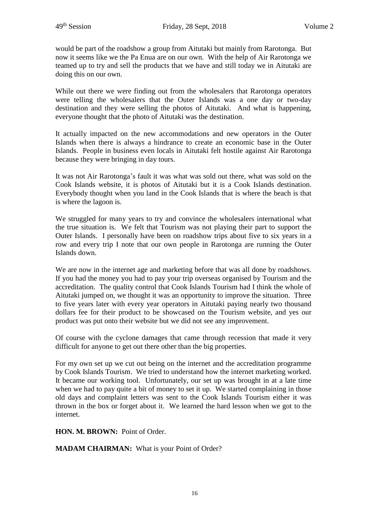would be part of the roadshow a group from Aitutaki but mainly from Rarotonga. But now it seems like we the Pa Enua are on our own. With the help of Air Rarotonga we teamed up to try and sell the products that we have and still today we in Aitutaki are doing this on our own.

While out there we were finding out from the wholesalers that Rarotonga operators were telling the wholesalers that the Outer Islands was a one day or two-day destination and they were selling the photos of Aitutaki. And what is happening, everyone thought that the photo of Aitutaki was the destination.

It actually impacted on the new accommodations and new operators in the Outer Islands when there is always a hindrance to create an economic base in the Outer Islands. People in business even locals in Aitutaki felt hostile against Air Rarotonga because they were bringing in day tours.

It was not Air Rarotonga's fault it was what was sold out there, what was sold on the Cook Islands website, it is photos of Aitutaki but it is a Cook Islands destination. Everybody thought when you land in the Cook Islands that is where the beach is that is where the lagoon is.

We struggled for many years to try and convince the wholesalers international what the true situation is. We felt that Tourism was not playing their part to support the Outer Islands. I personally have been on roadshow trips about five to six years in a row and every trip I note that our own people in Rarotonga are running the Outer Islands down.

We are now in the internet age and marketing before that was all done by roadshows. If you had the money you had to pay your trip overseas organised by Tourism and the accreditation. The quality control that Cook Islands Tourism had I think the whole of Aitutaki jumped on, we thought it was an opportunity to improve the situation. Three to five years later with every year operators in Aitutaki paying nearly two thousand dollars fee for their product to be showcased on the Tourism website, and yes our product was put onto their website but we did not see any improvement.

Of course with the cyclone damages that came through recession that made it very difficult for anyone to get out there other than the big properties.

For my own set up we cut out being on the internet and the accreditation programme by Cook Islands Tourism. We tried to understand how the internet marketing worked. It became our working tool. Unfortunately, our set up was brought in at a late time when we had to pay quite a bit of money to set it up. We started complaining in those old days and complaint letters was sent to the Cook Islands Tourism either it was thrown in the box or forget about it. We learned the hard lesson when we got to the internet.

**HON. M. BROWN:** Point of Order.

**MADAM CHAIRMAN:** What is your Point of Order?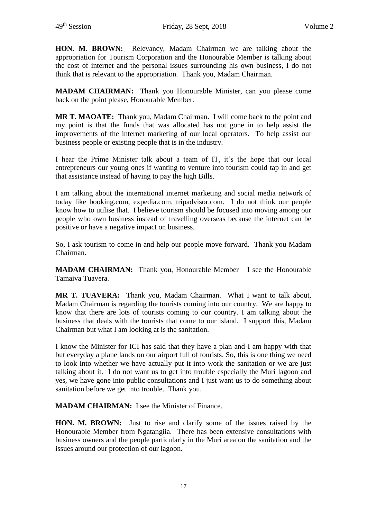**HON. M. BROWN:** Relevancy, Madam Chairman we are talking about the appropriation for Tourism Corporation and the Honourable Member is talking about the cost of internet and the personal issues surrounding his own business, I do not think that is relevant to the appropriation. Thank you, Madam Chairman.

**MADAM CHAIRMAN:** Thank you Honourable Minister, can you please come back on the point please, Honourable Member.

**MR T. MAOATE:** Thank you, Madam Chairman. I will come back to the point and my point is that the funds that was allocated has not gone in to help assist the improvements of the internet marketing of our local operators. To help assist our business people or existing people that is in the industry.

I hear the Prime Minister talk about a team of IT, it's the hope that our local entrepreneurs our young ones if wanting to venture into tourism could tap in and get that assistance instead of having to pay the high Bills.

I am talking about the international internet marketing and social media network of today like booking.com, expedia.com, tripadvisor.com. I do not think our people know how to utilise that. I believe tourism should be focused into moving among our people who own business instead of travelling overseas because the internet can be positive or have a negative impact on business.

So, I ask tourism to come in and help our people move forward. Thank you Madam Chairman.

**MADAM CHAIRMAN:** Thank you, Honourable Member I see the Honourable Tamaiva Tuavera.

**MR T. TUAVERA:** Thank you, Madam Chairman. What I want to talk about, Madam Chairman is regarding the tourists coming into our country. We are happy to know that there are lots of tourists coming to our country. I am talking about the business that deals with the tourists that come to our island. I support this, Madam Chairman but what I am looking at is the sanitation.

I know the Minister for ICI has said that they have a plan and I am happy with that but everyday a plane lands on our airport full of tourists. So, this is one thing we need to look into whether we have actually put it into work the sanitation or we are just talking about it. I do not want us to get into trouble especially the Muri lagoon and yes, we have gone into public consultations and I just want us to do something about sanitation before we get into trouble. Thank you.

**MADAM CHAIRMAN:** I see the Minister of Finance.

**HON. M. BROWN:** Just to rise and clarify some of the issues raised by the Honourable Member from Ngatangiia. There has been extensive consultations with business owners and the people particularly in the Muri area on the sanitation and the issues around our protection of our lagoon.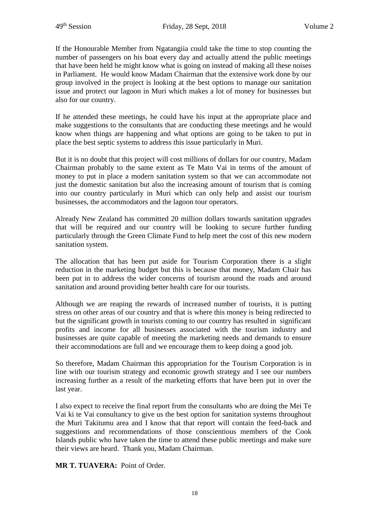If the Honourable Member from Ngatangiia could take the time to stop counting the number of passengers on his boat every day and actually attend the public meetings that have been held he might know what is going on instead of making all these noises in Parliament. He would know Madam Chairman that the extensive work done by our group involved in the project is looking at the best options to manage our sanitation issue and protect our lagoon in Muri which makes a lot of money for businesses but also for our country.

If he attended these meetings, he could have his input at the appropriate place and make suggestions to the consultants that are conducting these meetings and he would know when things are happening and what options are going to be taken to put in place the best septic systems to address this issue particularly in Muri.

But it is no doubt that this project will cost millions of dollars for our country, Madam Chairman probably to the same extent as Te Mato Vai in terms of the amount of money to put in place a modern sanitation system so that we can accommodate not just the domestic sanitation but also the increasing amount of tourism that is coming into our country particularly in Muri which can only help and assist our tourism businesses, the accommodators and the lagoon tour operators.

Already New Zealand has committed 20 million dollars towards sanitation upgrades that will be required and our country will be looking to secure further funding particularly through the Green Climate Fund to help meet the cost of this new modern sanitation system.

The allocation that has been put aside for Tourism Corporation there is a slight reduction in the marketing budget but this is because that money, Madam Chair has been put in to address the wider concerns of tourism around the roads and around sanitation and around providing better health care for our tourists.

Although we are reaping the rewards of increased number of tourists, it is putting stress on other areas of our country and that is where this money is being redirected to but the significant growth in tourists coming to our country has resulted in significant profits and income for all businesses associated with the tourism industry and businesses are quite capable of meeting the marketing needs and demands to ensure their accommodations are full and we encourage them to keep doing a good job.

So therefore, Madam Chairman this appropriation for the Tourism Corporation is in line with our tourism strategy and economic growth strategy and I see our numbers increasing further as a result of the marketing efforts that have been put in over the last year.

I also expect to receive the final report from the consultants who are doing the Mei Te Vai ki te Vai consultancy to give us the best option for sanitation systems throughout the Muri Takitumu area and I know that that report will contain the feed-back and suggestions and recommendations of those conscientious members of the Cook Islands public who have taken the time to attend these public meetings and make sure their views are heard. Thank you, Madam Chairman.

**MR T. TUAVERA:** Point of Order.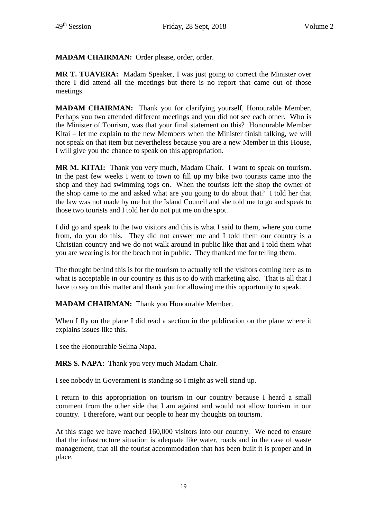**MADAM CHAIRMAN:** Order please, order, order.

**MR T. TUAVERA:** Madam Speaker, I was just going to correct the Minister over there I did attend all the meetings but there is no report that came out of those meetings.

**MADAM CHAIRMAN:** Thank you for clarifying yourself, Honourable Member. Perhaps you two attended different meetings and you did not see each other. Who is the Minister of Tourism, was that your final statement on this? Honourable Member Kitai – let me explain to the new Members when the Minister finish talking, we will not speak on that item but nevertheless because you are a new Member in this House, I will give you the chance to speak on this appropriation.

**MR M. KITAI:** Thank you very much, Madam Chair. I want to speak on tourism. In the past few weeks I went to town to fill up my bike two tourists came into the shop and they had swimming togs on. When the tourists left the shop the owner of the shop came to me and asked what are you going to do about that? I told her that the law was not made by me but the Island Council and she told me to go and speak to those two tourists and I told her do not put me on the spot.

I did go and speak to the two visitors and this is what I said to them, where you come from, do you do this. They did not answer me and I told them our country is a Christian country and we do not walk around in public like that and I told them what you are wearing is for the beach not in public. They thanked me for telling them.

The thought behind this is for the tourism to actually tell the visitors coming here as to what is acceptable in our country as this is to do with marketing also. That is all that I have to say on this matter and thank you for allowing me this opportunity to speak.

**MADAM CHAIRMAN:** Thank you Honourable Member.

When I fly on the plane I did read a section in the publication on the plane where it explains issues like this.

I see the Honourable Selina Napa.

**MRS S. NAPA:** Thank you very much Madam Chair.

I see nobody in Government is standing so I might as well stand up.

I return to this appropriation on tourism in our country because I heard a small comment from the other side that I am against and would not allow tourism in our country. I therefore, want our people to hear my thoughts on tourism.

At this stage we have reached 160,000 visitors into our country. We need to ensure that the infrastructure situation is adequate like water, roads and in the case of waste management, that all the tourist accommodation that has been built it is proper and in place.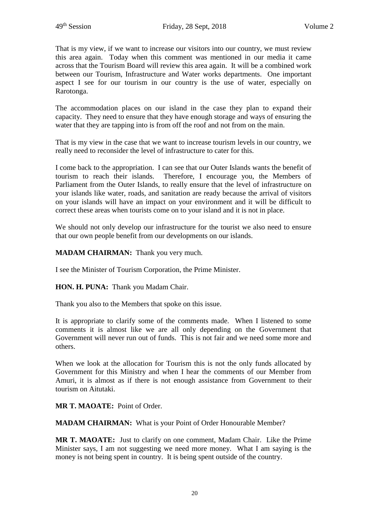That is my view, if we want to increase our visitors into our country, we must review this area again. Today when this comment was mentioned in our media it came across that the Tourism Board will review this area again. It will be a combined work between our Tourism, Infrastructure and Water works departments. One important aspect I see for our tourism in our country is the use of water, especially on Rarotonga.

The accommodation places on our island in the case they plan to expand their capacity. They need to ensure that they have enough storage and ways of ensuring the water that they are tapping into is from off the roof and not from on the main.

That is my view in the case that we want to increase tourism levels in our country, we really need to reconsider the level of infrastructure to cater for this.

I come back to the appropriation. I can see that our Outer Islands wants the benefit of tourism to reach their islands. Therefore, I encourage you, the Members of Parliament from the Outer Islands, to really ensure that the level of infrastructure on your islands like water, roads, and sanitation are ready because the arrival of visitors on your islands will have an impact on your environment and it will be difficult to correct these areas when tourists come on to your island and it is not in place.

We should not only develop our infrastructure for the tourist we also need to ensure that our own people benefit from our developments on our islands.

**MADAM CHAIRMAN:** Thank you very much.

I see the Minister of Tourism Corporation, the Prime Minister.

**HON. H. PUNA:** Thank you Madam Chair.

Thank you also to the Members that spoke on this issue.

It is appropriate to clarify some of the comments made. When I listened to some comments it is almost like we are all only depending on the Government that Government will never run out of funds. This is not fair and we need some more and others.

When we look at the allocation for Tourism this is not the only funds allocated by Government for this Ministry and when I hear the comments of our Member from Amuri, it is almost as if there is not enough assistance from Government to their tourism on Aitutaki.

**MR T. MAOATE:** Point of Order.

**MADAM CHAIRMAN:** What is your Point of Order Honourable Member?

**MR T. MAOATE:** Just to clarify on one comment, Madam Chair. Like the Prime Minister says, I am not suggesting we need more money. What I am saying is the money is not being spent in country. It is being spent outside of the country.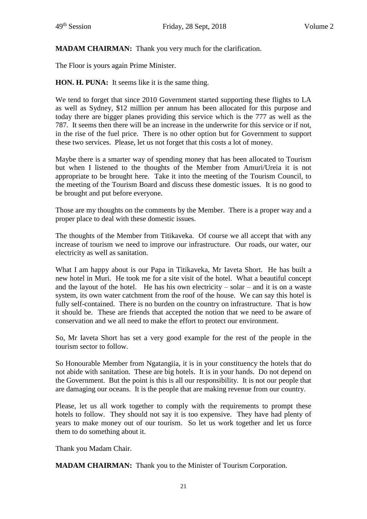## **MADAM CHAIRMAN:** Thank you very much for the clarification.

The Floor is yours again Prime Minister.

**HON. H. PUNA:** It seems like it is the same thing.

We tend to forget that since 2010 Government started supporting these flights to LA as well as Sydney, \$12 million per annum has been allocated for this purpose and today there are bigger planes providing this service which is the 777 as well as the 787. It seems then there will be an increase in the underwrite for this service or if not, in the rise of the fuel price. There is no other option but for Government to support these two services. Please, let us not forget that this costs a lot of money.

Maybe there is a smarter way of spending money that has been allocated to Tourism but when I listened to the thoughts of the Member from Amuri/Ureia it is not appropriate to be brought here. Take it into the meeting of the Tourism Council, to the meeting of the Tourism Board and discuss these domestic issues. It is no good to be brought and put before everyone.

Those are my thoughts on the comments by the Member. There is a proper way and a proper place to deal with these domestic issues.

The thoughts of the Member from Titikaveka. Of course we all accept that with any increase of tourism we need to improve our infrastructure. Our roads, our water, our electricity as well as sanitation.

What I am happy about is our Papa in Titikaveka, Mr Iaveta Short. He has built a new hotel in Muri. He took me for a site visit of the hotel. What a beautiful concept and the layout of the hotel. He has his own electricity – solar – and it is on a waste system, its own water catchment from the roof of the house. We can say this hotel is fully self-contained. There is no burden on the country on infrastructure. That is how it should be. These are friends that accepted the notion that we need to be aware of conservation and we all need to make the effort to protect our environment.

So, Mr Iaveta Short has set a very good example for the rest of the people in the tourism sector to follow.

So Honourable Member from Ngatangiia, it is in your constituency the hotels that do not abide with sanitation. These are big hotels. It is in your hands. Do not depend on the Government. But the point is this is all our responsibility. It is not our people that are damaging our oceans. It is the people that are making revenue from our country.

Please, let us all work together to comply with the requirements to prompt these hotels to follow. They should not say it is too expensive. They have had plenty of years to make money out of our tourism. So let us work together and let us force them to do something about it.

Thank you Madam Chair.

**MADAM CHAIRMAN:** Thank you to the Minister of Tourism Corporation.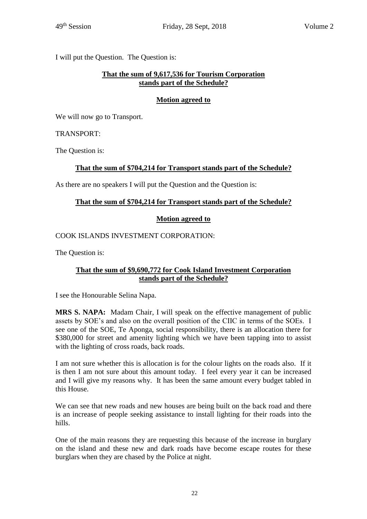I will put the Question. The Question is:

## **That the sum of 9,617,536 for Tourism Corporation stands part of the Schedule?**

## **Motion agreed to**

We will now go to Transport.

#### TRANSPORT:

The Question is:

# **That the sum of \$704,214 for Transport stands part of the Schedule?**

As there are no speakers I will put the Question and the Question is:

## **That the sum of \$704,214 for Transport stands part of the Schedule?**

# **Motion agreed to**

COOK ISLANDS INVESTMENT CORPORATION:

The Question is:

## **That the sum of \$9,690,772 for Cook Island Investment Corporation stands part of the Schedule?**

I see the Honourable Selina Napa.

**MRS S. NAPA:** Madam Chair, I will speak on the effective management of public assets by SOE's and also on the overall position of the CIIC in terms of the SOEs. I see one of the SOE, Te Aponga, social responsibility, there is an allocation there for \$380,000 for street and amenity lighting which we have been tapping into to assist with the lighting of cross roads, back roads.

I am not sure whether this is allocation is for the colour lights on the roads also. If it is then I am not sure about this amount today. I feel every year it can be increased and I will give my reasons why. It has been the same amount every budget tabled in this House.

We can see that new roads and new houses are being built on the back road and there is an increase of people seeking assistance to install lighting for their roads into the hills.

One of the main reasons they are requesting this because of the increase in burglary on the island and these new and dark roads have become escape routes for these burglars when they are chased by the Police at night.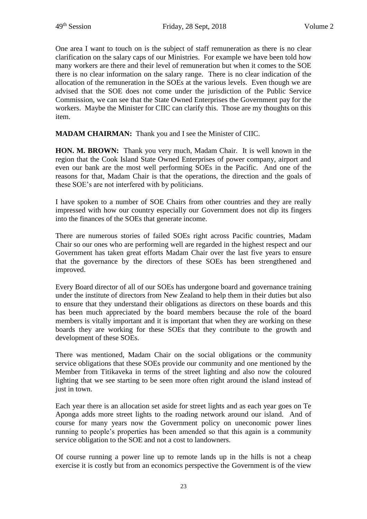One area I want to touch on is the subject of staff remuneration as there is no clear clarification on the salary caps of our Ministries. For example we have been told how many workers are there and their level of remuneration but when it comes to the SOE there is no clear information on the salary range. There is no clear indication of the allocation of the remuneration in the SOEs at the various levels. Even though we are advised that the SOE does not come under the jurisdiction of the Public Service Commission, we can see that the State Owned Enterprises the Government pay for the workers. Maybe the Minister for CIIC can clarify this. Those are my thoughts on this item.

**MADAM CHAIRMAN:** Thank you and I see the Minister of CIIC.

**HON. M. BROWN:** Thank you very much, Madam Chair. It is well known in the region that the Cook Island State Owned Enterprises of power company, airport and even our bank are the most well performing SOEs in the Pacific. And one of the reasons for that, Madam Chair is that the operations, the direction and the goals of these SOE's are not interfered with by politicians.

I have spoken to a number of SOE Chairs from other countries and they are really impressed with how our country especially our Government does not dip its fingers into the finances of the SOEs that generate income.

There are numerous stories of failed SOEs right across Pacific countries, Madam Chair so our ones who are performing well are regarded in the highest respect and our Government has taken great efforts Madam Chair over the last five years to ensure that the governance by the directors of these SOEs has been strengthened and improved.

Every Board director of all of our SOEs has undergone board and governance training under the institute of directors from New Zealand to help them in their duties but also to ensure that they understand their obligations as directors on these boards and this has been much appreciated by the board members because the role of the board members is vitally important and it is important that when they are working on these boards they are working for these SOEs that they contribute to the growth and development of these SOEs.

There was mentioned, Madam Chair on the social obligations or the community service obligations that these SOEs provide our community and one mentioned by the Member from Titikaveka in terms of the street lighting and also now the coloured lighting that we see starting to be seen more often right around the island instead of just in town.

Each year there is an allocation set aside for street lights and as each year goes on Te Aponga adds more street lights to the roading network around our island. And of course for many years now the Government policy on uneconomic power lines running to people's properties has been amended so that this again is a community service obligation to the SOE and not a cost to landowners.

Of course running a power line up to remote lands up in the hills is not a cheap exercise it is costly but from an economics perspective the Government is of the view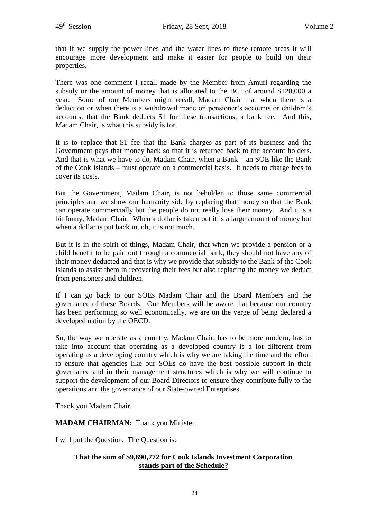that if we supply the power lines and the water lines to these remote areas it will encourage more development and make it easier for people to build on their properties.

There was one comment I recall made by the Member from Amuri regarding the subsidy or the amount of money that is allocated to the BCI of around \$120,000 a year. Some of our Members might recall, Madam Chair that when there is a deduction or when there is a withdrawal made on pensioner's accounts or children's accounts, that the Bank deducts \$1 for these transactions, a bank fee. And this, Madam Chair, is what this subsidy is for.

It is to replace that \$1 fee that the Bank charges as part of its business and the Government pays that money back so that it is returned back to the account holders. And that is what we have to do, Madam Chair, when a Bank – an SOE like the Bank of the Cook Islands – must operate on a commercial basis. It needs to charge fees to cover its costs.

But the Government, Madam Chair, is not beholden to those same commercial principles and we show our humanity side by replacing that money so that the Bank can operate commercially but the people do not really lose their money. And it is a bit funny, Madam Chair. When a dollar is taken out it is a large amount of money but when a dollar is put back in, oh, it is not much.

But it is in the spirit of things, Madam Chair, that when we provide a pension or a child benefit to be paid out through a commercial bank, they should not have any of their money deducted and that is why we provide that subsidy to the Bank of the Cook Islands to assist them in recovering their fees but also replacing the money we deduct from pensioners and children.

If I can go back to our SOEs Madam Chair and the Board Members and the governance of these Boards. Our Members will be aware that because our country has been performing so well economically, we are on the verge of being declared a developed nation by the OECD.

So, the way we operate as a country, Madam Chair, has to be more modern, has to take into account that operating as a developed country is a lot different from operating as a developing country which is why we are taking the time and the effort to ensure that agencies like our SOEs do have the best possible support in their governance and in their management structures which is why we will continue to support the development of our Board Directors to ensure they contribute fully to the operations and the governance of our State-owned Enterprises.

Thank you Madam Chair.

**MADAM CHAIRMAN:** Thank you Minister.

I will put the Question. The Question is:

## **That the sum of \$9,690,772 for Cook Islands Investment Corporation stands part of the Schedule?**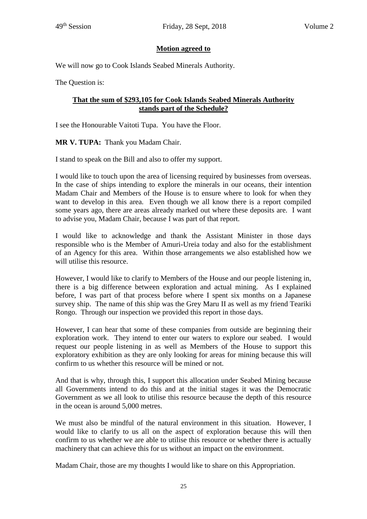## **Motion agreed to**

We will now go to Cook Islands Seabed Minerals Authority.

The Question is:

## **That the sum of \$293,105 for Cook Islands Seabed Minerals Authority stands part of the Schedule?**

I see the Honourable Vaitoti Tupa. You have the Floor.

**MR V. TUPA:** Thank you Madam Chair.

I stand to speak on the Bill and also to offer my support.

I would like to touch upon the area of licensing required by businesses from overseas. In the case of ships intending to explore the minerals in our oceans, their intention Madam Chair and Members of the House is to ensure where to look for when they want to develop in this area. Even though we all know there is a report compiled some years ago, there are areas already marked out where these deposits are. I want to advise you, Madam Chair, because I was part of that report.

I would like to acknowledge and thank the Assistant Minister in those days responsible who is the Member of Amuri-Ureia today and also for the establishment of an Agency for this area. Within those arrangements we also established how we will utilise this resource.

However, I would like to clarify to Members of the House and our people listening in, there is a big difference between exploration and actual mining. As I explained before, I was part of that process before where I spent six months on a Japanese survey ship. The name of this ship was the Grey Maru II as well as my friend Teariki Rongo. Through our inspection we provided this report in those days.

However, I can hear that some of these companies from outside are beginning their exploration work. They intend to enter our waters to explore our seabed. I would request our people listening in as well as Members of the House to support this exploratory exhibition as they are only looking for areas for mining because this will confirm to us whether this resource will be mined or not.

And that is why, through this, I support this allocation under Seabed Mining because all Governments intend to do this and at the initial stages it was the Democratic Government as we all look to utilise this resource because the depth of this resource in the ocean is around 5,000 metres.

We must also be mindful of the natural environment in this situation. However, I would like to clarify to us all on the aspect of exploration because this will then confirm to us whether we are able to utilise this resource or whether there is actually machinery that can achieve this for us without an impact on the environment.

Madam Chair, those are my thoughts I would like to share on this Appropriation.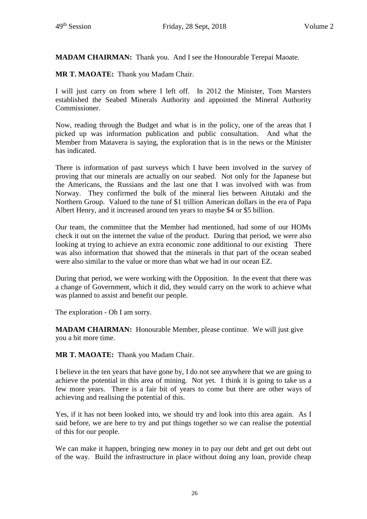**MADAM CHAIRMAN:** Thank you. And I see the Honourable Terepai Maoate.

**MR T. MAOATE:** Thank you Madam Chair.

I will just carry on from where I left off. In 2012 the Minister, Tom Marsters established the Seabed Minerals Authority and appointed the Mineral Authority Commissioner.

Now, reading through the Budget and what is in the policy, one of the areas that I picked up was information publication and public consultation. And what the Member from Matavera is saying, the exploration that is in the news or the Minister has indicated.

There is information of past surveys which I have been involved in the survey of proving that our minerals are actually on our seabed. Not only for the Japanese but the Americans, the Russians and the last one that I was involved with was from Norway. They confirmed the bulk of the mineral lies between Aitutaki and the Northern Group. Valued to the tune of \$1 trillion American dollars in the era of Papa Albert Henry, and it increased around ten years to maybe \$4 or \$5 billion.

Our team, the committee that the Member had mentioned, had some of our HOMs check it out on the internet the value of the product. During that period, we were also looking at trying to achieve an extra economic zone additional to our existing There was also information that showed that the minerals in that part of the ocean seabed were also similar to the value or more than what we had in our ocean EZ.

During that period, we were working with the Opposition. In the event that there was a change of Government, which it did, they would carry on the work to achieve what was planned to assist and benefit our people.

The exploration - Oh I am sorry.

**MADAM CHAIRMAN:** Honourable Member, please continue. We will just give you a bit more time.

**MR T. MAOATE:** Thank you Madam Chair.

I believe in the ten years that have gone by, I do not see anywhere that we are going to achieve the potential in this area of mining. Not yet. I think it is going to take us a few more years. There is a fair bit of years to come but there are other ways of achieving and realising the potential of this.

Yes, if it has not been looked into, we should try and look into this area again. As I said before, we are here to try and put things together so we can realise the potential of this for our people.

We can make it happen, bringing new money in to pay our debt and get out debt out of the way. Build the infrastructure in place without doing any loan, provide cheap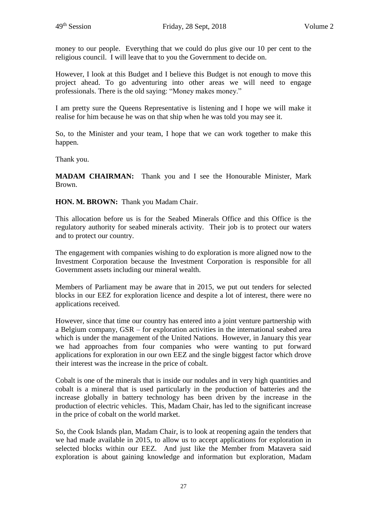money to our people. Everything that we could do plus give our 10 per cent to the religious council. I will leave that to you the Government to decide on.

However, I look at this Budget and I believe this Budget is not enough to move this project ahead. To go adventuring into other areas we will need to engage professionals. There is the old saying: "Money makes money."

I am pretty sure the Queens Representative is listening and I hope we will make it realise for him because he was on that ship when he was told you may see it.

So, to the Minister and your team, I hope that we can work together to make this happen.

Thank you.

**MADAM CHAIRMAN:** Thank you and I see the Honourable Minister, Mark Brown.

**HON. M. BROWN:** Thank you Madam Chair.

This allocation before us is for the Seabed Minerals Office and this Office is the regulatory authority for seabed minerals activity. Their job is to protect our waters and to protect our country.

The engagement with companies wishing to do exploration is more aligned now to the Investment Corporation because the Investment Corporation is responsible for all Government assets including our mineral wealth.

Members of Parliament may be aware that in 2015, we put out tenders for selected blocks in our EEZ for exploration licence and despite a lot of interest, there were no applications received.

However, since that time our country has entered into a joint venture partnership with a Belgium company, GSR – for exploration activities in the international seabed area which is under the management of the United Nations. However, in January this year we had approaches from four companies who were wanting to put forward applications for exploration in our own EEZ and the single biggest factor which drove their interest was the increase in the price of cobalt.

Cobalt is one of the minerals that is inside our nodules and in very high quantities and cobalt is a mineral that is used particularly in the production of batteries and the increase globally in battery technology has been driven by the increase in the production of electric vehicles. This, Madam Chair, has led to the significant increase in the price of cobalt on the world market.

So, the Cook Islands plan, Madam Chair, is to look at reopening again the tenders that we had made available in 2015, to allow us to accept applications for exploration in selected blocks within our EEZ. And just like the Member from Matavera said exploration is about gaining knowledge and information but exploration, Madam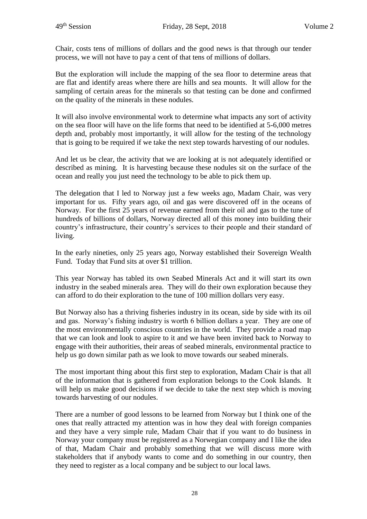Chair, costs tens of millions of dollars and the good news is that through our tender process, we will not have to pay a cent of that tens of millions of dollars.

But the exploration will include the mapping of the sea floor to determine areas that are flat and identify areas where there are hills and sea mounts. It will allow for the sampling of certain areas for the minerals so that testing can be done and confirmed on the quality of the minerals in these nodules.

It will also involve environmental work to determine what impacts any sort of activity on the sea floor will have on the life forms that need to be identified at 5-6,000 metres depth and, probably most importantly, it will allow for the testing of the technology that is going to be required if we take the next step towards harvesting of our nodules.

And let us be clear, the activity that we are looking at is not adequately identified or described as mining. It is harvesting because these nodules sit on the surface of the ocean and really you just need the technology to be able to pick them up.

The delegation that I led to Norway just a few weeks ago, Madam Chair, was very important for us. Fifty years ago, oil and gas were discovered off in the oceans of Norway. For the first 25 years of revenue earned from their oil and gas to the tune of hundreds of billions of dollars, Norway directed all of this money into building their country's infrastructure, their country's services to their people and their standard of living.

In the early nineties, only 25 years ago, Norway established their Sovereign Wealth Fund. Today that Fund sits at over \$1 trillion.

This year Norway has tabled its own Seabed Minerals Act and it will start its own industry in the seabed minerals area. They will do their own exploration because they can afford to do their exploration to the tune of 100 million dollars very easy.

But Norway also has a thriving fisheries industry in its ocean, side by side with its oil and gas. Norway's fishing industry is worth 6 billion dollars a year. They are one of the most environmentally conscious countries in the world. They provide a road map that we can look and look to aspire to it and we have been invited back to Norway to engage with their authorities, their areas of seabed minerals, environmental practice to help us go down similar path as we look to move towards our seabed minerals.

The most important thing about this first step to exploration, Madam Chair is that all of the information that is gathered from exploration belongs to the Cook Islands. It will help us make good decisions if we decide to take the next step which is moving towards harvesting of our nodules.

There are a number of good lessons to be learned from Norway but I think one of the ones that really attracted my attention was in how they deal with foreign companies and they have a very simple rule, Madam Chair that if you want to do business in Norway your company must be registered as a Norwegian company and I like the idea of that, Madam Chair and probably something that we will discuss more with stakeholders that if anybody wants to come and do something in our country, then they need to register as a local company and be subject to our local laws.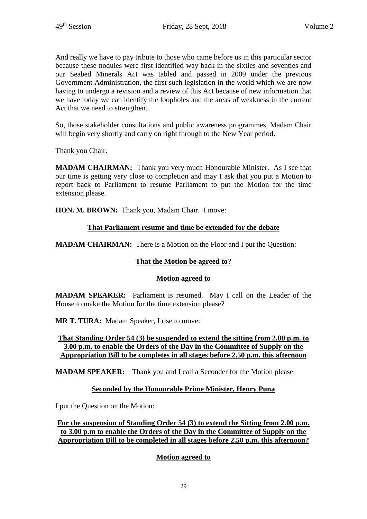And really we have to pay tribute to those who came before us in this particular sector because these nodules were first identified way back in the sixties and seventies and our Seabed Minerals Act was tabled and passed in 2009 under the previous Government Administration, the first such legislation in the world which we are now having to undergo a revision and a review of this Act because of new information that we have today we can identify the loopholes and the areas of weakness in the current Act that we need to strengthen.

So, those stakeholder consultations and public awareness programmes, Madam Chair will begin very shortly and carry on right through to the New Year period.

Thank you Chair.

**MADAM CHAIRMAN:** Thank you very much Honourable Minister. As I see that our time is getting very close to completion and may I ask that you put a Motion to report back to Parliament to resume Parliament to put the Motion for the time extension please.

**HON. M. BROWN:** Thank you, Madam Chair. I move:

## **That Parliament resume and time be extended for the debate**

**MADAM CHAIRMAN:** There is a Motion on the Floor and I put the Question:

# **That the Motion be agreed to?**

#### **Motion agreed to**

**MADAM SPEAKER:** Parliament is resumed. May I call on the Leader of the House to make the Motion for the time extension please?

**MR T. TURA:** Madam Speaker, I rise to move:

#### **That Standing Order 54 (3) be suspended to extend the sitting from 2.00 p.m. to 3.00 p.m. to enable the Orders of the Day in the Committee of Supply on the Appropriation Bill to be completes in all stages before 2.50 p.m. this afternoon**

**MADAM SPEAKER:** Thank you and I call a Seconder for the Motion please.

#### **Seconded by the Honourable Prime Minister, Henry Puna**

I put the Question on the Motion:

**For the suspension of Standing Order 54 (3) to extend the Sitting from 2.00 p.m. to 3.00 p.m to enable the Orders of the Day in the Committee of Supply on the Appropriation Bill to be completed in all stages before 2.50 p.m. this afternoon?**

# **Motion agreed to**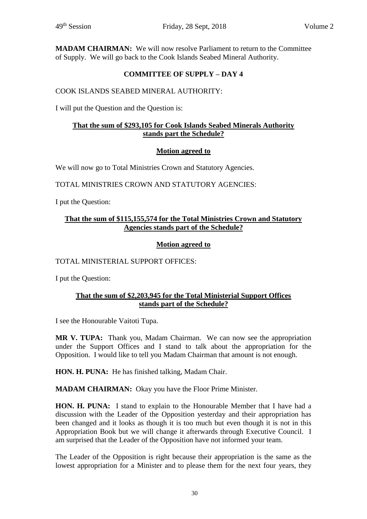**MADAM CHAIRMAN:** We will now resolve Parliament to return to the Committee of Supply. We will go back to the Cook Islands Seabed Mineral Authority.

# **COMMITTEE OF SUPPLY – DAY 4**

# COOK ISLANDS SEABED MINERAL AUTHORITY:

I will put the Question and the Question is:

# **That the sum of \$293,105 for Cook Islands Seabed Minerals Authority stands part the Schedule?**

# **Motion agreed to**

We will now go to Total Ministries Crown and Statutory Agencies.

TOTAL MINISTRIES CROWN AND STATUTORY AGENCIES:

I put the Question:

## **That the sum of \$115,155,574 for the Total Ministries Crown and Statutory Agencies stands part of the Schedule?**

# **Motion agreed to**

TOTAL MINISTERIAL SUPPORT OFFICES:

I put the Question:

## **That the sum of \$2,203,945 for the Total Ministerial Support Offices stands part of the Schedule?**

I see the Honourable Vaitoti Tupa.

**MR V. TUPA:** Thank you, Madam Chairman. We can now see the appropriation under the Support Offices and I stand to talk about the appropriation for the Opposition. I would like to tell you Madam Chairman that amount is not enough.

**HON. H. PUNA:** He has finished talking, Madam Chair.

**MADAM CHAIRMAN:** Okay you have the Floor Prime Minister.

**HON. H. PUNA:** I stand to explain to the Honourable Member that I have had a discussion with the Leader of the Opposition yesterday and their appropriation has been changed and it looks as though it is too much but even though it is not in this Appropriation Book but we will change it afterwards through Executive Council. I am surprised that the Leader of the Opposition have not informed your team.

The Leader of the Opposition is right because their appropriation is the same as the lowest appropriation for a Minister and to please them for the next four years, they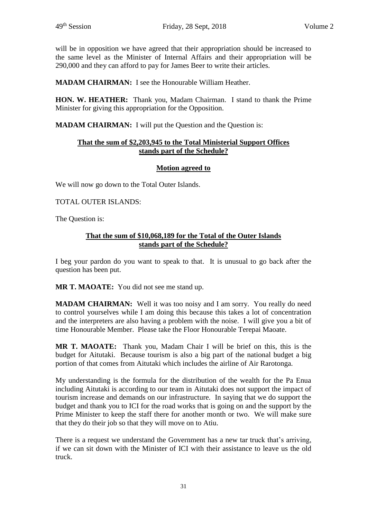will be in opposition we have agreed that their appropriation should be increased to the same level as the Minister of Internal Affairs and their appropriation will be 290,000 and they can afford to pay for James Beer to write their articles.

**MADAM CHAIRMAN:** I see the Honourable William Heather.

**HON. W. HEATHER:** Thank you, Madam Chairman. I stand to thank the Prime Minister for giving this appropriation for the Opposition.

**MADAM CHAIRMAN:** I will put the Question and the Question is:

#### **That the sum of \$2,203,945 to the Total Ministerial Support Offices stands part of the Schedule?**

## **Motion agreed to**

We will now go down to the Total Outer Islands.

TOTAL OUTER ISLANDS:

The Question is:

#### **That the sum of \$10,068,189 for the Total of the Outer Islands stands part of the Schedule?**

I beg your pardon do you want to speak to that. It is unusual to go back after the question has been put.

**MR T. MAOATE:** You did not see me stand up.

**MADAM CHAIRMAN:** Well it was too noisy and I am sorry. You really do need to control yourselves while I am doing this because this takes a lot of concentration and the interpreters are also having a problem with the noise. I will give you a bit of time Honourable Member. Please take the Floor Honourable Terepai Maoate.

**MR T. MAOATE:** Thank you, Madam Chair I will be brief on this, this is the budget for Aitutaki. Because tourism is also a big part of the national budget a big portion of that comes from Aitutaki which includes the airline of Air Rarotonga.

My understanding is the formula for the distribution of the wealth for the Pa Enua including Aitutaki is according to our team in Aitutaki does not support the impact of tourism increase and demands on our infrastructure. In saying that we do support the budget and thank you to ICI for the road works that is going on and the support by the Prime Minister to keep the staff there for another month or two. We will make sure that they do their job so that they will move on to Atiu.

There is a request we understand the Government has a new tar truck that's arriving, if we can sit down with the Minister of ICI with their assistance to leave us the old truck.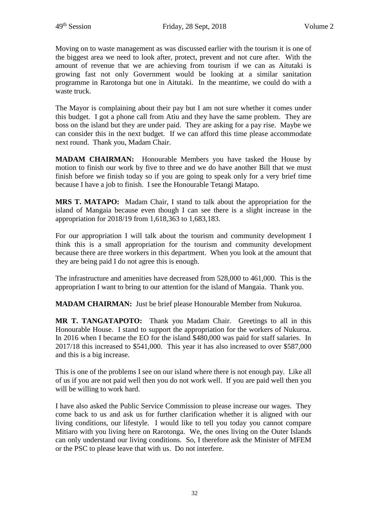Moving on to waste management as was discussed earlier with the tourism it is one of the biggest area we need to look after, protect, prevent and not cure after. With the amount of revenue that we are achieving from tourism if we can as Aitutaki is growing fast not only Government would be looking at a similar sanitation programme in Rarotonga but one in Aitutaki. In the meantime, we could do with a waste truck.

The Mayor is complaining about their pay but I am not sure whether it comes under this budget. I got a phone call from Atiu and they have the same problem. They are boss on the island but they are under paid. They are asking for a pay rise. Maybe we can consider this in the next budget. If we can afford this time please accommodate next round. Thank you, Madam Chair.

**MADAM CHAIRMAN:** Honourable Members you have tasked the House by motion to finish our work by five to three and we do have another Bill that we must finish before we finish today so if you are going to speak only for a very brief time because I have a job to finish. I see the Honourable Tetangi Matapo.

**MRS T. MATAPO:** Madam Chair, I stand to talk about the appropriation for the island of Mangaia because even though I can see there is a slight increase in the appropriation for 2018/19 from 1,618,363 to 1,683,183.

For our appropriation I will talk about the tourism and community development I think this is a small appropriation for the tourism and community development because there are three workers in this department. When you look at the amount that they are being paid I do not agree this is enough.

The infrastructure and amenities have decreased from 528,000 to 461,000. This is the appropriation I want to bring to our attention for the island of Mangaia. Thank you.

**MADAM CHAIRMAN:** Just be brief please Honourable Member from Nukuroa.

**MR T. TANGATAPOTO:** Thank you Madam Chair. Greetings to all in this Honourable House. I stand to support the appropriation for the workers of Nukuroa. In 2016 when I became the EO for the island \$480,000 was paid for staff salaries. In 2017/18 this increased to \$541,000. This year it has also increased to over \$587,000 and this is a big increase.

This is one of the problems I see on our island where there is not enough pay. Like all of us if you are not paid well then you do not work well. If you are paid well then you will be willing to work hard.

I have also asked the Public Service Commission to please increase our wages. They come back to us and ask us for further clarification whether it is aligned with our living conditions, our lifestyle. I would like to tell you today you cannot compare Mitiaro with you living here on Rarotonga. We, the ones living on the Outer Islands can only understand our living conditions. So, I therefore ask the Minister of MFEM or the PSC to please leave that with us. Do not interfere.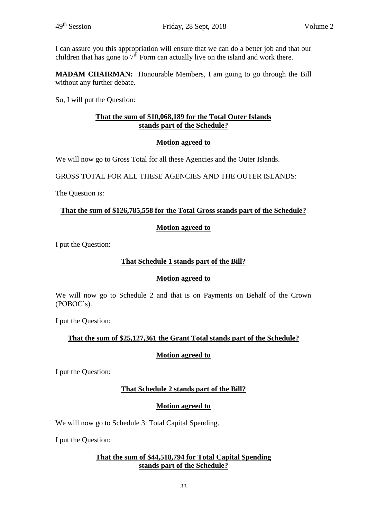I can assure you this appropriation will ensure that we can do a better job and that our children that has gone to  $7<sup>th</sup>$  Form can actually live on the island and work there.

**MADAM CHAIRMAN:** Honourable Members, I am going to go through the Bill without any further debate.

So, I will put the Question:

## **That the sum of \$10,068,189 for the Total Outer Islands stands part of the Schedule?**

## **Motion agreed to**

We will now go to Gross Total for all these Agencies and the Outer Islands.

GROSS TOTAL FOR ALL THESE AGENCIES AND THE OUTER ISLANDS:

The Question is:

#### **That the sum of \$126,785,558 for the Total Gross stands part of the Schedule?**

#### **Motion agreed to**

I put the Question:

## **That Schedule 1 stands part of the Bill?**

#### **Motion agreed to**

We will now go to Schedule 2 and that is on Payments on Behalf of the Crown (POBOC's).

I put the Question:

## **That the sum of \$25,127,361 the Grant Total stands part of the Schedule?**

#### **Motion agreed to**

I put the Question:

#### **That Schedule 2 stands part of the Bill?**

#### **Motion agreed to**

We will now go to Schedule 3: Total Capital Spending.

I put the Question:

## **That the sum of \$44,518,794 for Total Capital Spending stands part of the Schedule?**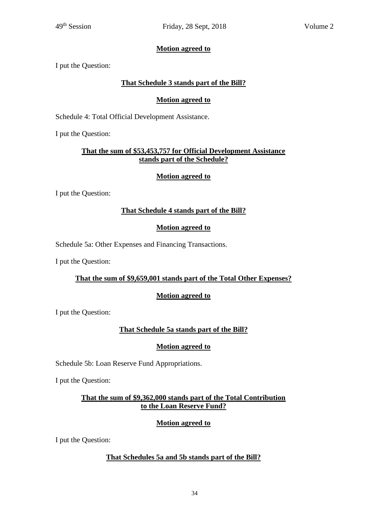# **Motion agreed to**

I put the Question:

# **That Schedule 3 stands part of the Bill?**

# **Motion agreed to**

Schedule 4: Total Official Development Assistance.

I put the Question:

## **That the sum of \$53,453,757 for Official Development Assistance stands part of the Schedule?**

# **Motion agreed to**

I put the Question:

# **That Schedule 4 stands part of the Bill?**

## **Motion agreed to**

Schedule 5a: Other Expenses and Financing Transactions.

I put the Question:

# **That the sum of \$9,659,001 stands part of the Total Other Expenses?**

# **Motion agreed to**

I put the Question:

# **That Schedule 5a stands part of the Bill?**

#### **Motion agreed to**

Schedule 5b: Loan Reserve Fund Appropriations.

I put the Question:

## **That the sum of \$9,362,000 stands part of the Total Contribution to the Loan Reserve Fund?**

# **Motion agreed to**

I put the Question:

# **That Schedules 5a and 5b stands part of the Bill?**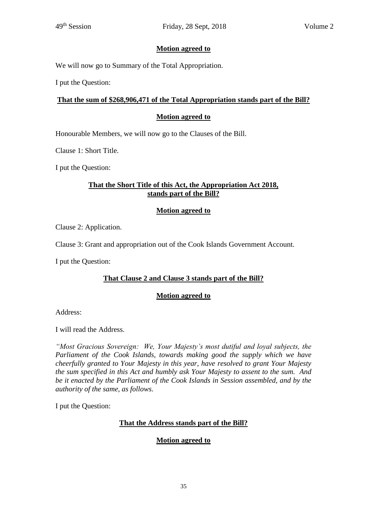## **Motion agreed to**

We will now go to Summary of the Total Appropriation.

I put the Question:

#### **That the sum of \$268,906,471 of the Total Appropriation stands part of the Bill?**

#### **Motion agreed to**

Honourable Members, we will now go to the Clauses of the Bill.

Clause 1: Short Title.

I put the Question:

## **That the Short Title of this Act, the Appropriation Act 2018, stands part of the Bill?**

#### **Motion agreed to**

Clause 2: Application.

Clause 3: Grant and appropriation out of the Cook Islands Government Account.

I put the Question:

# **That Clause 2 and Clause 3 stands part of the Bill?**

#### **Motion agreed to**

Address:

I will read the Address.

*"Most Gracious Sovereign: We, Your Majesty's most dutiful and loyal subjects, the Parliament of the Cook Islands, towards making good the supply which we have cheerfully granted to Your Majesty in this year, have resolved to grant Your Majesty the sum specified in this Act and humbly ask Your Majesty to assent to the sum. And be it enacted by the Parliament of the Cook Islands in Session assembled, and by the authority of the same, as follows.*

I put the Question:

#### **That the Address stands part of the Bill?**

#### **Motion agreed to**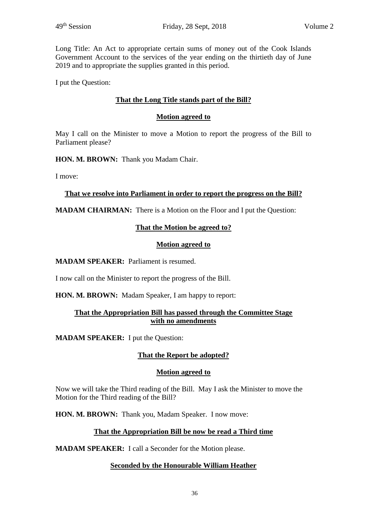Long Title: An Act to appropriate certain sums of money out of the Cook Islands Government Account to the services of the year ending on the thirtieth day of June 2019 and to appropriate the supplies granted in this period.

I put the Question:

## **That the Long Title stands part of the Bill?**

#### **Motion agreed to**

May I call on the Minister to move a Motion to report the progress of the Bill to Parliament please?

**HON. M. BROWN:** Thank you Madam Chair.

I move:

#### **That we resolve into Parliament in order to report the progress on the Bill?**

**MADAM CHAIRMAN:** There is a Motion on the Floor and I put the Question:

#### **That the Motion be agreed to?**

#### **Motion agreed to**

**MADAM SPEAKER:** Parliament is resumed.

I now call on the Minister to report the progress of the Bill.

**HON. M. BROWN:** Madam Speaker, I am happy to report:

#### **That the Appropriation Bill has passed through the Committee Stage with no amendments**

**MADAM SPEAKER:** I put the Question:

#### **That the Report be adopted?**

#### **Motion agreed to**

Now we will take the Third reading of the Bill. May I ask the Minister to move the Motion for the Third reading of the Bill?

**HON. M. BROWN:** Thank you, Madam Speaker. I now move:

#### **That the Appropriation Bill be now be read a Third time**

**MADAM SPEAKER:** I call a Seconder for the Motion please.

#### **Seconded by the Honourable William Heather**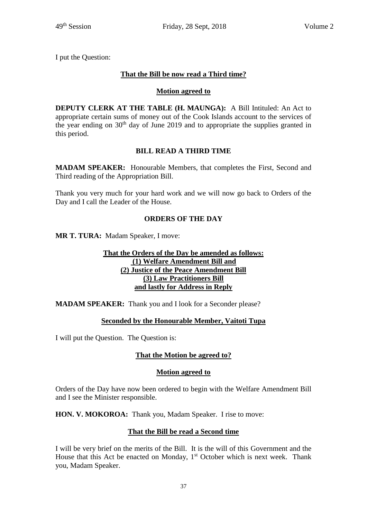I put the Question:

# **That the Bill be now read a Third time?**

# **Motion agreed to**

**DEPUTY CLERK AT THE TABLE (H. MAUNGA):** A Bill Intituled: An Act to appropriate certain sums of money out of the Cook Islands account to the services of the year ending on  $30<sup>th</sup>$  day of June 2019 and to appropriate the supplies granted in this period.

# **BILL READ A THIRD TIME**

**MADAM SPEAKER:** Honourable Members, that completes the First, Second and Third reading of the Appropriation Bill.

Thank you very much for your hard work and we will now go back to Orders of the Day and I call the Leader of the House.

# **ORDERS OF THE DAY**

**MR T. TURA:** Madam Speaker, I move:

#### **That the Orders of the Day be amended as follows: (1) Welfare Amendment Bill and (2) Justice of the Peace Amendment Bill (3) Law Practitioners Bill and lastly for Address in Reply**

**MADAM SPEAKER:** Thank you and I look for a Seconder please?

# **Seconded by the Honourable Member, Vaitoti Tupa**

I will put the Question. The Question is:

# **That the Motion be agreed to?**

#### **Motion agreed to**

Orders of the Day have now been ordered to begin with the Welfare Amendment Bill and I see the Minister responsible.

HON. V. MOKOROA: Thank you, Madam Speaker. I rise to move:

#### **That the Bill be read a Second time**

I will be very brief on the merits of the Bill. It is the will of this Government and the House that this Act be enacted on Monday,  $1<sup>st</sup>$  October which is next week. Thank you, Madam Speaker.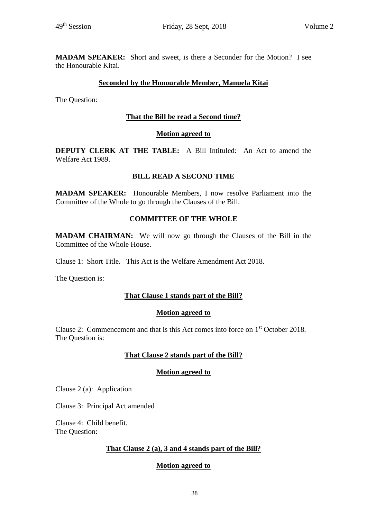**MADAM SPEAKER:** Short and sweet, is there a Seconder for the Motion? I see the Honourable Kitai.

#### **Seconded by the Honourable Member, Manuela Kitai**

The Question:

#### **That the Bill be read a Second time?**

#### **Motion agreed to**

**DEPUTY CLERK AT THE TABLE:** A Bill Intituled: An Act to amend the Welfare Act 1989.

#### **BILL READ A SECOND TIME**

**MADAM SPEAKER:** Honourable Members, I now resolve Parliament into the Committee of the Whole to go through the Clauses of the Bill.

#### **COMMITTEE OF THE WHOLE**

**MADAM CHAIRMAN:** We will now go through the Clauses of the Bill in the Committee of the Whole House.

Clause 1: Short Title. This Act is the Welfare Amendment Act 2018.

The Question is:

#### **That Clause 1 stands part of the Bill?**

#### **Motion agreed to**

Clause 2: Commencement and that is this Act comes into force on 1 st October 2018. The Question is:

#### **That Clause 2 stands part of the Bill?**

#### **Motion agreed to**

Clause 2 (a): Application

Clause 3: Principal Act amended

Clause 4: Child benefit. The Question:

#### **That Clause 2 (a), 3 and 4 stands part of the Bill?**

#### **Motion agreed to**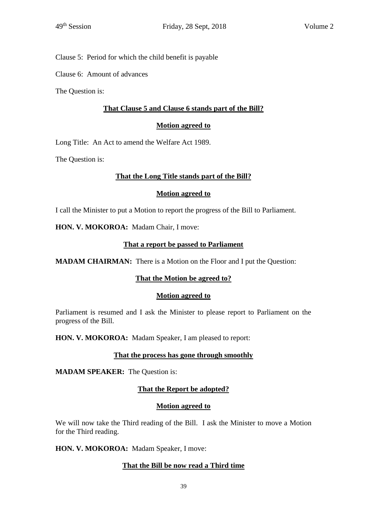Clause 5: Period for which the child benefit is payable

Clause 6: Amount of advances

The Question is:

#### **That Clause 5 and Clause 6 stands part of the Bill?**

#### **Motion agreed to**

Long Title: An Act to amend the Welfare Act 1989.

The Question is:

#### **That the Long Title stands part of the Bill?**

#### **Motion agreed to**

I call the Minister to put a Motion to report the progress of the Bill to Parliament.

**HON. V. MOKOROA:** Madam Chair, I move:

#### **That a report be passed to Parliament**

**MADAM CHAIRMAN:** There is a Motion on the Floor and I put the Question:

#### **That the Motion be agreed to?**

#### **Motion agreed to**

Parliament is resumed and I ask the Minister to please report to Parliament on the progress of the Bill.

**HON. V. MOKOROA:** Madam Speaker, I am pleased to report:

#### **That the process has gone through smoothly**

**MADAM SPEAKER:** The Question is:

#### **That the Report be adopted?**

#### **Motion agreed to**

We will now take the Third reading of the Bill. I ask the Minister to move a Motion for the Third reading.

**HON. V. MOKOROA:** Madam Speaker, I move:

#### **That the Bill be now read a Third time**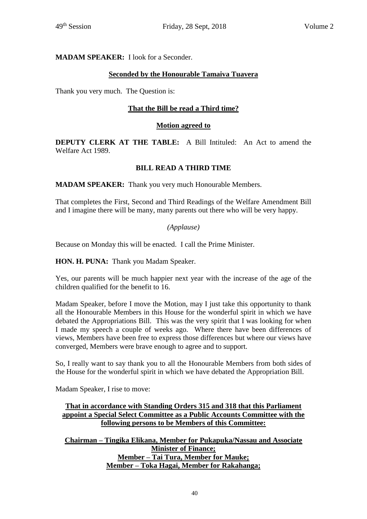#### **MADAM SPEAKER:** I look for a Seconder.

## **Seconded by the Honourable Tamaiva Tuavera**

Thank you very much. The Question is:

#### **That the Bill be read a Third time?**

#### **Motion agreed to**

**DEPUTY CLERK AT THE TABLE:** A Bill Intituled: An Act to amend the Welfare Act 1989.

#### **BILL READ A THIRD TIME**

**MADAM SPEAKER:** Thank you very much Honourable Members.

That completes the First, Second and Third Readings of the Welfare Amendment Bill and I imagine there will be many, many parents out there who will be very happy.

#### *(Applause)*

Because on Monday this will be enacted. I call the Prime Minister.

**HON. H. PUNA:** Thank you Madam Speaker.

Yes, our parents will be much happier next year with the increase of the age of the children qualified for the benefit to 16.

Madam Speaker, before I move the Motion, may I just take this opportunity to thank all the Honourable Members in this House for the wonderful spirit in which we have debated the Appropriations Bill. This was the very spirit that I was looking for when I made my speech a couple of weeks ago. Where there have been differences of views, Members have been free to express those differences but where our views have converged, Members were brave enough to agree and to support.

So, I really want to say thank you to all the Honourable Members from both sides of the House for the wonderful spirit in which we have debated the Appropriation Bill.

Madam Speaker, I rise to move:

## **That in accordance with Standing Orders 315 and 318 that this Parliament appoint a Special Select Committee as a Public Accounts Committee with the following persons to be Members of this Committee:**

**Chairman – Tingika Elikana, Member for Pukapuka/Nassau and Associate Minister of Finance; Member – Tai Tura, Member for Mauke; Member – Toka Hagai, Member for Rakahanga;**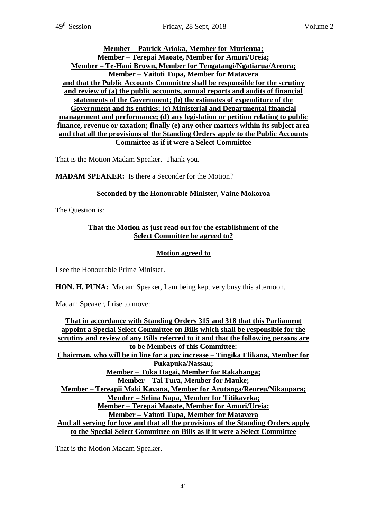#### **Member – Patrick Arioka, Member for Murienua; Member – Terepai Maoate, Member for Amuri/Ureia; Member – Te-Hani Brown, Member for Tengatangi/Ngatiarua/Areora; Member – Vaitoti Tupa, Member for Matavera and that the Public Accounts Committee shall be responsible for the scrutiny and review of (a) the public accounts, annual reports and audits of financial statements of the Government; (b) the estimates of expenditure of the Government and its entities; (c) Ministerial and Departmental financial management and performance; (d) any legislation or petition relating to public finance, revenue or taxation; finally (e) any other matters within its subject area and that all the provisions of the Standing Orders apply to the Public Accounts Committee as if it were a Select Committee**

That is the Motion Madam Speaker. Thank you.

**MADAM SPEAKER:** Is there a Seconder for the Motion?

## **Seconded by the Honourable Minister, Vaine Mokoroa**

The Question is:

## **That the Motion as just read out for the establishment of the Select Committee be agreed to?**

## **Motion agreed to**

I see the Honourable Prime Minister.

**HON. H. PUNA:** Madam Speaker, I am being kept very busy this afternoon.

Madam Speaker, I rise to move:

**That in accordance with Standing Orders 315 and 318 that this Parliament appoint a Special Select Committee on Bills which shall be responsible for the scrutiny and review of any Bills referred to it and that the following persons are to be Members of this Committee: Chairman, who will be in line for a pay increase – Tingika Elikana, Member for Pukapuka/Nassau; Member – Toka Hagai, Member for Rakahanga; Member – Tai Tura, Member for Mauke; Member – Tereapii Maki Kavana, Member for Arutanga/Reureu/Nikaupara; Member – Selina Napa, Member for Titikaveka; Member – Terepai Maoate, Member for Amuri/Ureia; Member – Vaitoti Tupa, Member for Matavera And all serving for love and that all the provisions of the Standing Orders apply to the Special Select Committee on Bills as if it were a Select Committee**

That is the Motion Madam Speaker.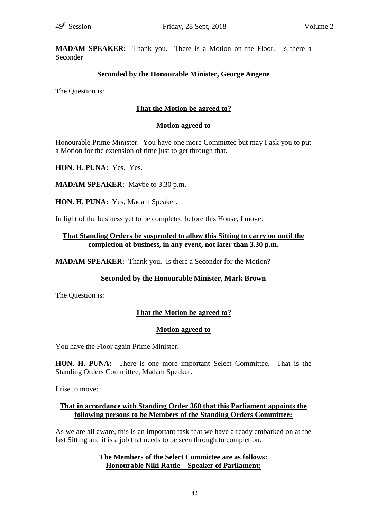**MADAM SPEAKER:** Thank you. There is a Motion on the Floor. Is there a Seconder

## **Seconded by the Honourable Minister, George Angene**

The Question is:

## **That the Motion be agreed to?**

#### **Motion agreed to**

Honourable Prime Minister. You have one more Committee but may I ask you to put a Motion for the extension of time just to get through that.

**HON. H. PUNA:** Yes. Yes.

**MADAM SPEAKER:** Maybe to 3.30 p.m.

**HON. H. PUNA:** Yes, Madam Speaker.

In light of the business yet to be completed before this House, I move:

#### **That Standing Orders be suspended to allow this Sitting to carry on until the completion of business, in any event, not later than 3.30 p.m.**

**MADAM SPEAKER:** Thank you. Is there a Seconder for the Motion?

#### **Seconded by the Honourable Minister, Mark Brown**

The Question is:

# **That the Motion be agreed to?**

#### **Motion agreed to**

You have the Floor again Prime Minister.

**HON. H. PUNA:** There is one more important Select Committee. That is the Standing Orders Committee, Madam Speaker.

I rise to move:

#### **That in accordance with Standing Order 360 that this Parliament appoints the following persons to be Members of the Standing Orders Committee:**

As we are all aware, this is an important task that we have already embarked on at the last Sitting and it is a job that needs to be seen through to completion.

#### **The Members of the Select Committee are as follows: Honourable Niki Rattle – Speaker of Parliament;**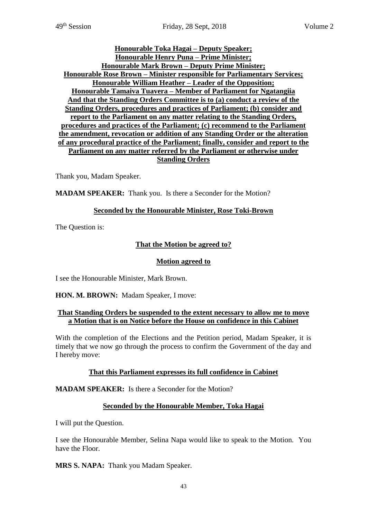#### **Honourable Toka Hagai – Deputy Speaker; Honourable Henry Puna – Prime Minister; Honourable Mark Brown – Deputy Prime Minister; Honourable Rose Brown – Minister responsible for Parliamentary Services; Honourable William Heather – Leader of the Opposition; Honourable Tamaiva Tuavera – Member of Parliament for Ngatangiia And that the Standing Orders Committee is to (a) conduct a review of the Standing Orders, procedures and practices of Parliament; (b) consider and report to the Parliament on any matter relating to the Standing Orders, procedures and practices of the Parliament; (c) recommend to the Parliament the amendment, revocation or addition of any Standing Order or the alteration of any procedural practice of the Parliament; finally, consider and report to the Parliament on any matter referred by the Parliament or otherwise under Standing Orders**

Thank you, Madam Speaker.

**MADAM SPEAKER:** Thank you. Is there a Seconder for the Motion?

#### **Seconded by the Honourable Minister, Rose Toki-Brown**

The Question is:

#### **That the Motion be agreed to?**

#### **Motion agreed to**

I see the Honourable Minister, Mark Brown.

**HON. M. BROWN:** Madam Speaker, I move:

#### **That Standing Orders be suspended to the extent necessary to allow me to move a Motion that is on Notice before the House on confidence in this Cabinet**

With the completion of the Elections and the Petition period, Madam Speaker, it is timely that we now go through the process to confirm the Government of the day and I hereby move:

#### **That this Parliament expresses its full confidence in Cabinet**

**MADAM SPEAKER:** Is there a Seconder for the Motion?

#### **Seconded by the Honourable Member, Toka Hagai**

I will put the Question.

I see the Honourable Member, Selina Napa would like to speak to the Motion. You have the Floor.

**MRS S. NAPA:** Thank you Madam Speaker.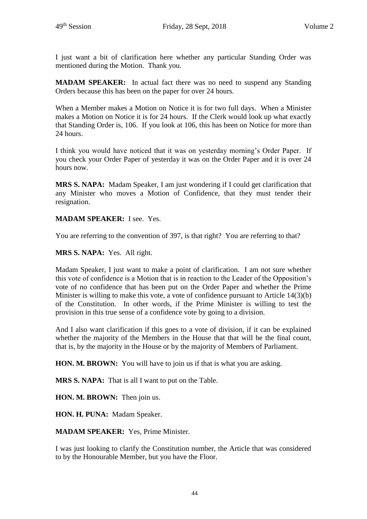I just want a bit of clarification here whether any particular Standing Order was mentioned during the Motion. Thank you.

**MADAM SPEAKER:** In actual fact there was no need to suspend any Standing Orders because this has been on the paper for over 24 hours.

When a Member makes a Motion on Notice it is for two full days. When a Minister makes a Motion on Notice it is for 24 hours. If the Clerk would look up what exactly that Standing Order is, 106. If you look at 106, this has been on Notice for more than 24 hours.

I think you would have noticed that it was on yesterday morning's Order Paper. If you check your Order Paper of yesterday it was on the Order Paper and it is over 24 hours now.

**MRS S. NAPA:** Madam Speaker, I am just wondering if I could get clarification that any Minister who moves a Motion of Confidence, that they must tender their resignation.

## **MADAM SPEAKER:** I see. Yes.

You are referring to the convention of 397, is that right? You are referring to that?

**MRS S. NAPA:** Yes. All right.

Madam Speaker, I just want to make a point of clarification. I am not sure whether this vote of confidence is a Motion that is in reaction to the Leader of the Opposition's vote of no confidence that has been put on the Order Paper and whether the Prime Minister is willing to make this vote, a vote of confidence pursuant to Article 14(3)(b) of the Constitution. In other words, if the Prime Minister is willing to test the provision in this true sense of a confidence vote by going to a division.

And I also want clarification if this goes to a vote of division, if it can be explained whether the majority of the Members in the House that that will be the final count, that is, by the majority in the House or by the majority of Members of Parliament.

**HON. M. BROWN:** You will have to join us if that is what you are asking.

**MRS S. NAPA:** That is all I want to put on the Table.

**HON. M. BROWN:** Then join us.

**HON. H. PUNA:** Madam Speaker.

**MADAM SPEAKER:** Yes, Prime Minister.

I was just looking to clarify the Constitution number, the Article that was considered to by the Honourable Member, but you have the Floor.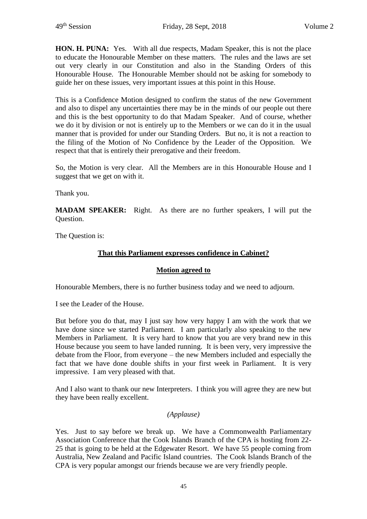**HON. H. PUNA:** Yes. With all due respects, Madam Speaker, this is not the place to educate the Honourable Member on these matters. The rules and the laws are set out very clearly in our Constitution and also in the Standing Orders of this Honourable House. The Honourable Member should not be asking for somebody to guide her on these issues, very important issues at this point in this House.

This is a Confidence Motion designed to confirm the status of the new Government and also to dispel any uncertainties there may be in the minds of our people out there and this is the best opportunity to do that Madam Speaker. And of course, whether we do it by division or not is entirely up to the Members or we can do it in the usual manner that is provided for under our Standing Orders. But no, it is not a reaction to the filing of the Motion of No Confidence by the Leader of the Opposition. We respect that that is entirely their prerogative and their freedom.

So, the Motion is very clear. All the Members are in this Honourable House and I suggest that we get on with it.

Thank you.

**MADAM SPEAKER:** Right. As there are no further speakers, I will put the Question.

The Question is:

#### **That this Parliament expresses confidence in Cabinet?**

#### **Motion agreed to**

Honourable Members, there is no further business today and we need to adjourn.

I see the Leader of the House.

But before you do that, may I just say how very happy I am with the work that we have done since we started Parliament. I am particularly also speaking to the new Members in Parliament. It is very hard to know that you are very brand new in this House because you seem to have landed running. It is been very, very impressive the debate from the Floor, from everyone – the new Members included and especially the fact that we have done double shifts in your first week in Parliament. It is very impressive. I am very pleased with that.

And I also want to thank our new Interpreters. I think you will agree they are new but they have been really excellent.

#### *(Applause)*

Yes. Just to say before we break up. We have a Commonwealth Parliamentary Association Conference that the Cook Islands Branch of the CPA is hosting from 22- 25 that is going to be held at the Edgewater Resort. We have 55 people coming from Australia, New Zealand and Pacific Island countries. The Cook Islands Branch of the CPA is very popular amongst our friends because we are very friendly people.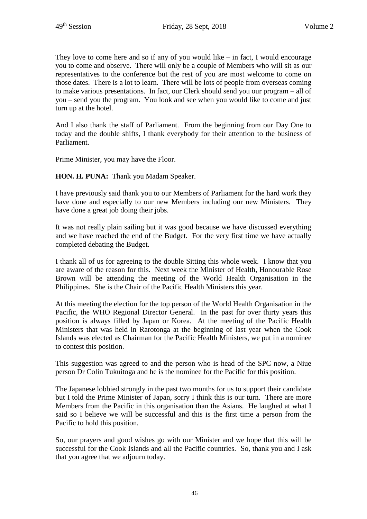They love to come here and so if any of you would like  $-$  in fact, I would encourage you to come and observe. There will only be a couple of Members who will sit as our representatives to the conference but the rest of you are most welcome to come on those dates. There is a lot to learn. There will be lots of people from overseas coming to make various presentations. In fact, our Clerk should send you our program – all of you – send you the program. You look and see when you would like to come and just turn up at the hotel.

And I also thank the staff of Parliament. From the beginning from our Day One to today and the double shifts, I thank everybody for their attention to the business of Parliament.

Prime Minister, you may have the Floor.

**HON. H. PUNA:** Thank you Madam Speaker.

I have previously said thank you to our Members of Parliament for the hard work they have done and especially to our new Members including our new Ministers. They have done a great job doing their jobs.

It was not really plain sailing but it was good because we have discussed everything and we have reached the end of the Budget. For the very first time we have actually completed debating the Budget.

I thank all of us for agreeing to the double Sitting this whole week. I know that you are aware of the reason for this. Next week the Minister of Health, Honourable Rose Brown will be attending the meeting of the World Health Organisation in the Philippines. She is the Chair of the Pacific Health Ministers this year.

At this meeting the election for the top person of the World Health Organisation in the Pacific, the WHO Regional Director General. In the past for over thirty years this position is always filled by Japan or Korea. At the meeting of the Pacific Health Ministers that was held in Rarotonga at the beginning of last year when the Cook Islands was elected as Chairman for the Pacific Health Ministers, we put in a nominee to contest this position.

This suggestion was agreed to and the person who is head of the SPC now, a Niue person Dr Colin Tukuitoga and he is the nominee for the Pacific for this position.

The Japanese lobbied strongly in the past two months for us to support their candidate but I told the Prime Minister of Japan, sorry I think this is our turn. There are more Members from the Pacific in this organisation than the Asians. He laughed at what I said so I believe we will be successful and this is the first time a person from the Pacific to hold this position.

So, our prayers and good wishes go with our Minister and we hope that this will be successful for the Cook Islands and all the Pacific countries. So, thank you and I ask that you agree that we adjourn today.